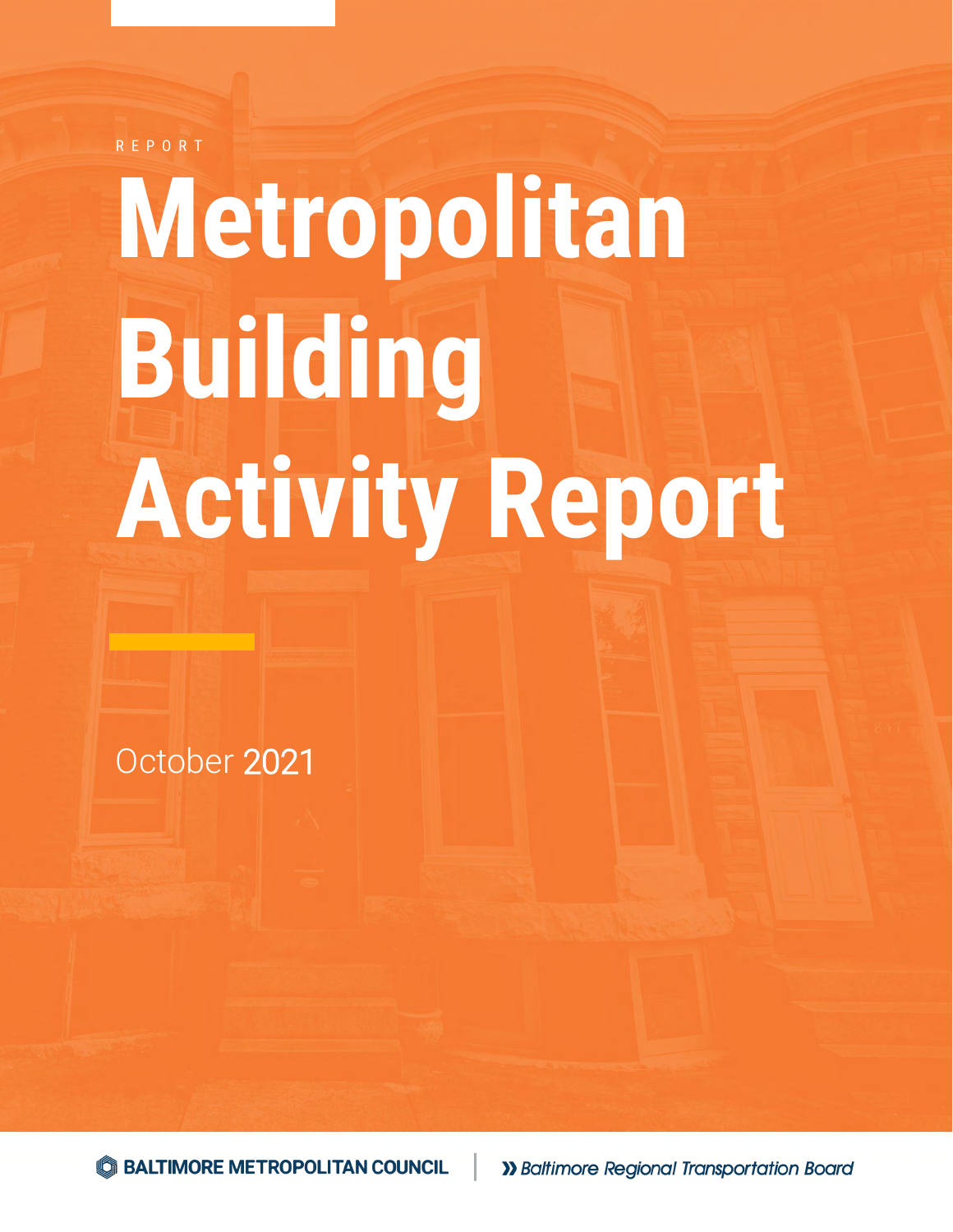R E P O R T

# **Metropolitan Building Activity Report**

October 2021

S BALTIMORE METROPOLITAN COUNCIL

>> Baltimore Regional Transportation Board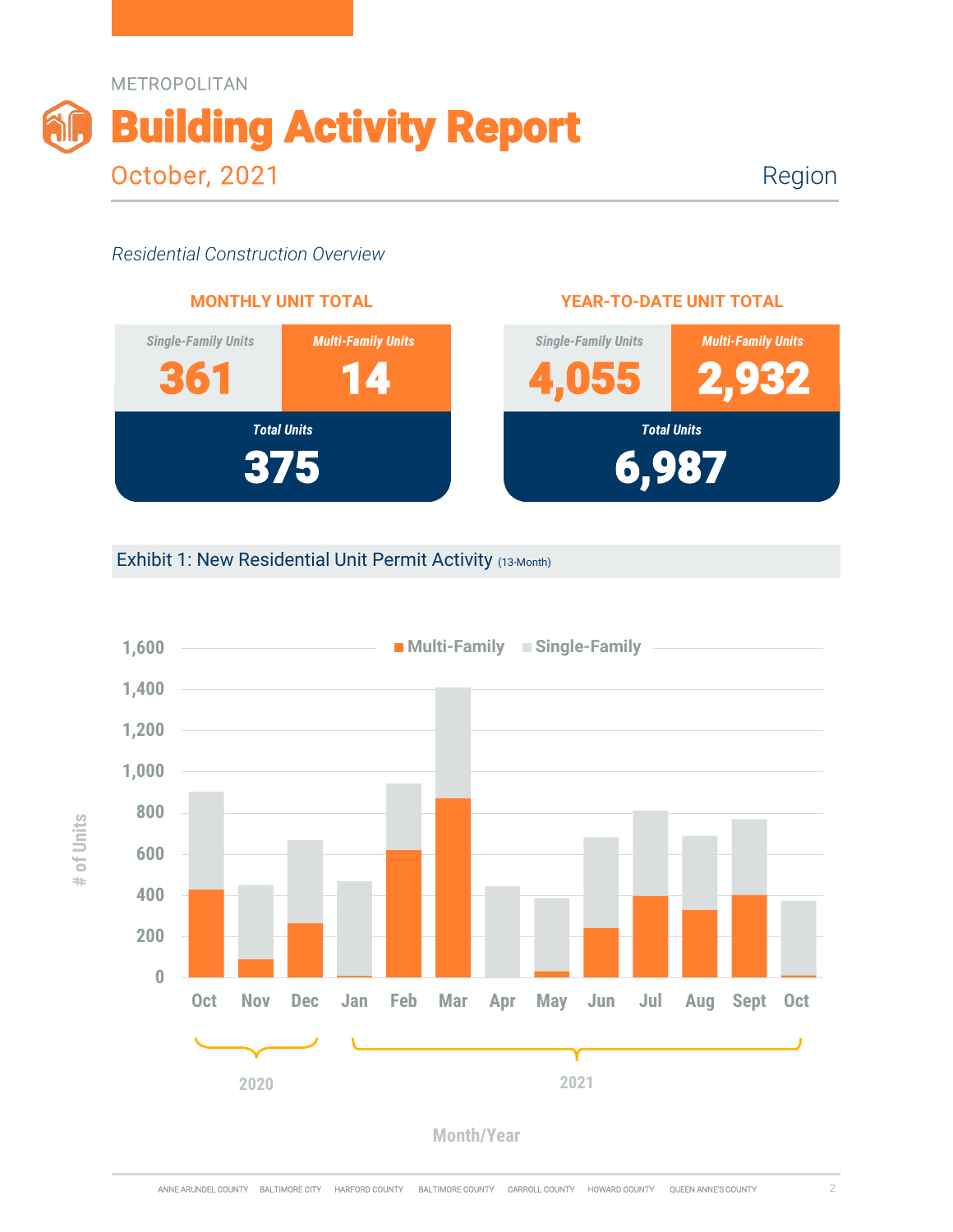

Region

#### *Residential Construction Overview*



#### **YEAR-TO-DATE UNIT TOTAL**



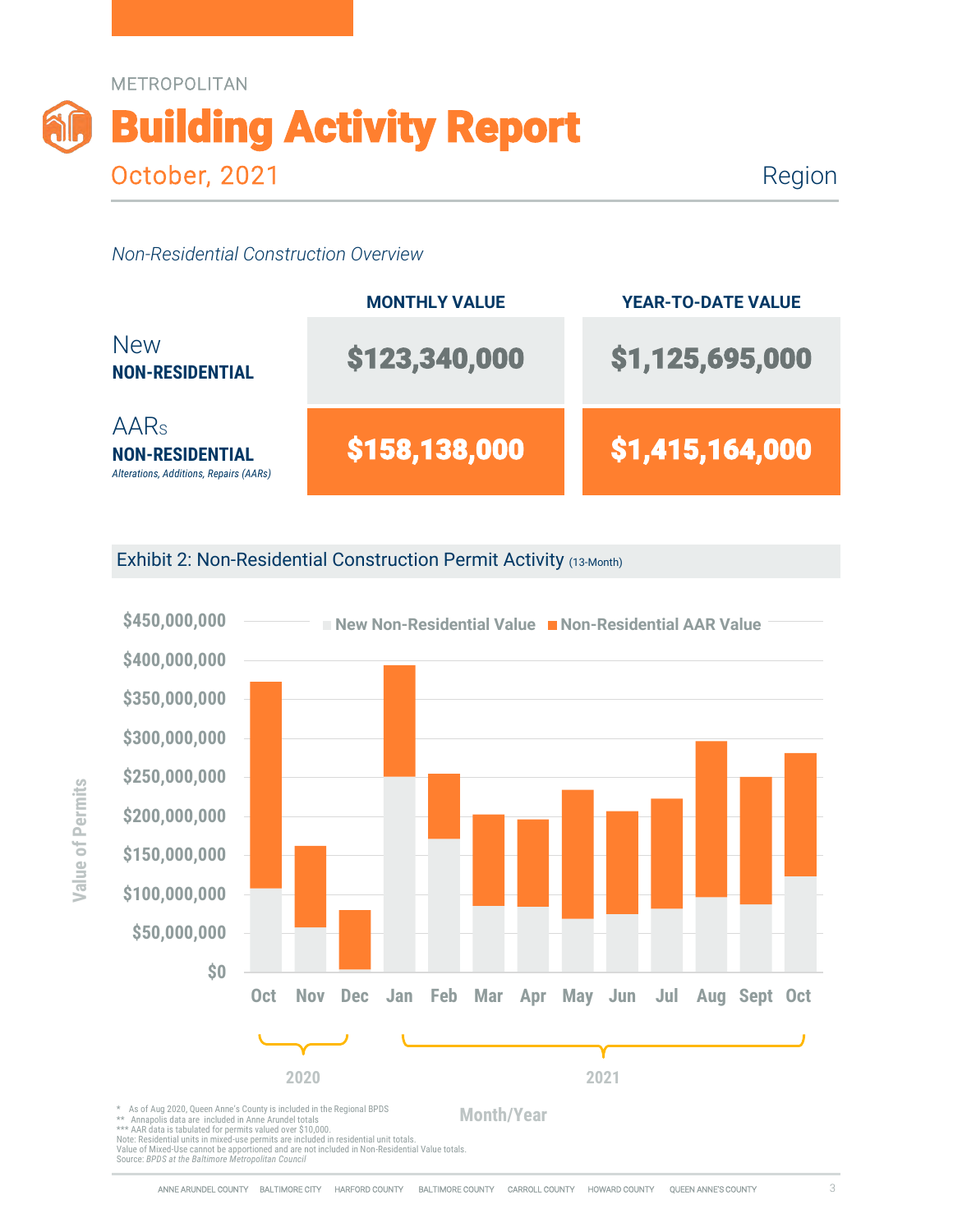

Region

#### *Non-Residential Construction Overview*



Exhibit 2: Non-Residential Construction Permit Activity (13-Month)



Note: Residential units in mixed-use permits are included in residential unit totals. Value of Mixed-Use cannot be apportioned and are not included in Non-Residential Value totals.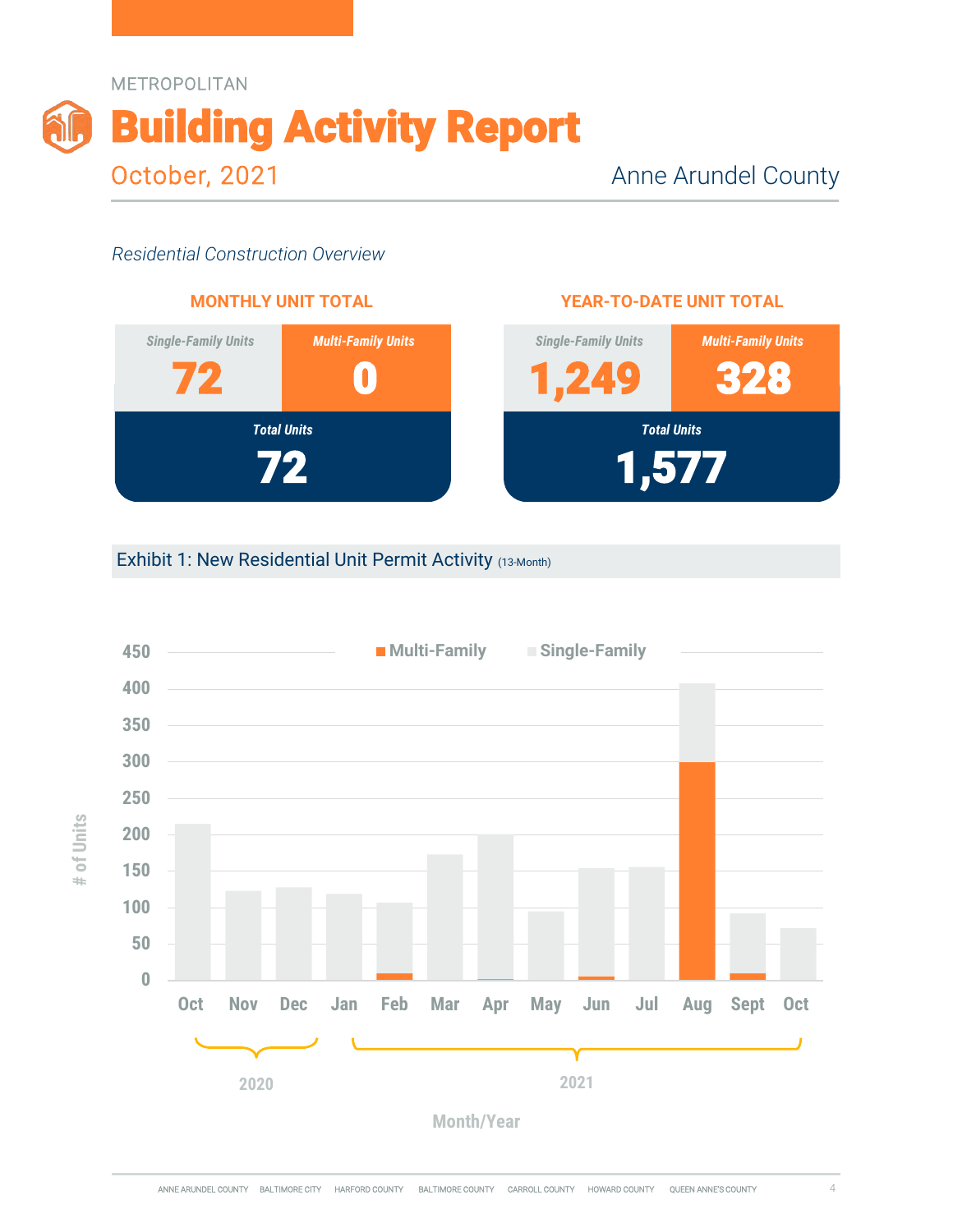



#### **YEAR-TO-DATE UNIT TOTAL**



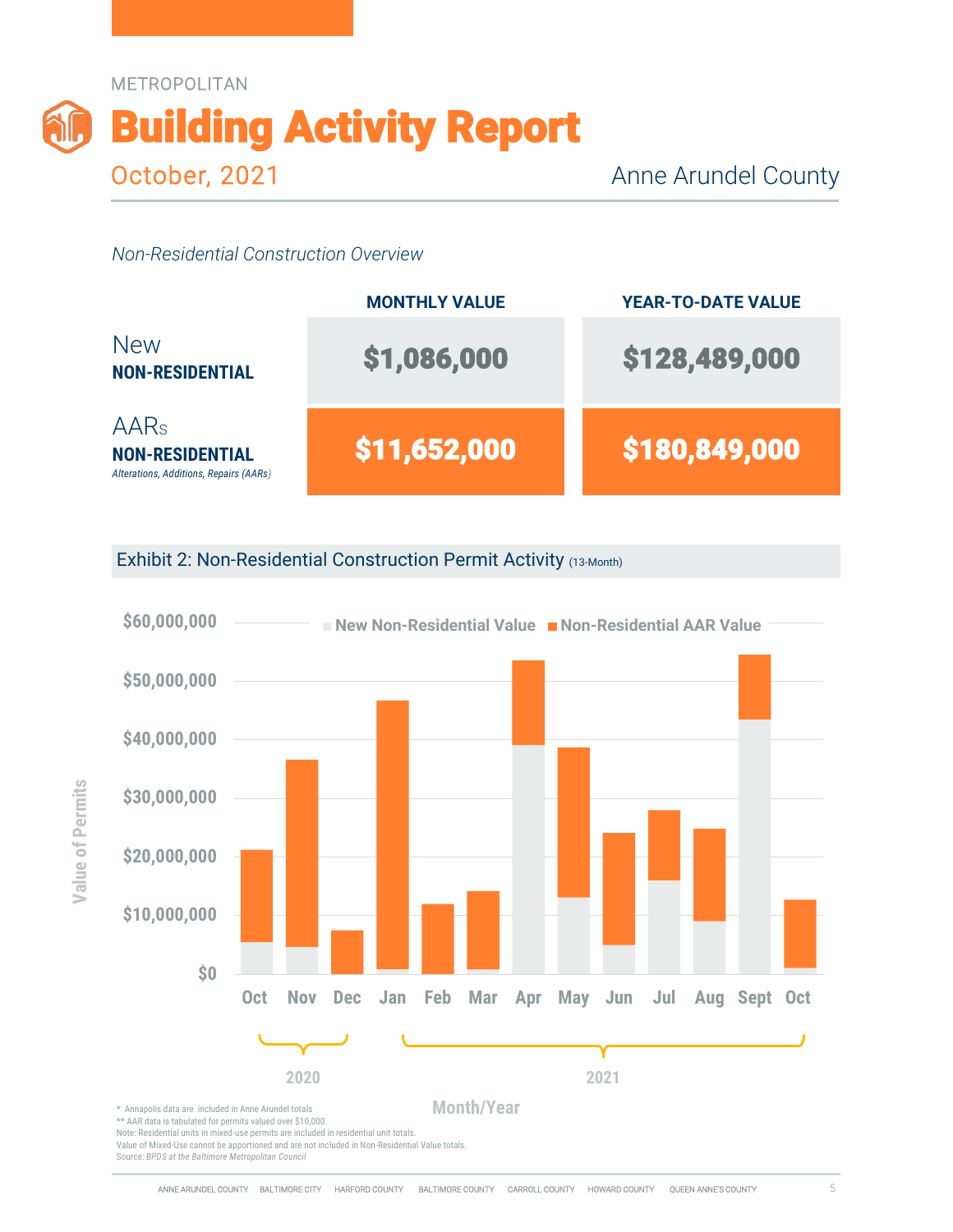



Exhibit 2: Non-Residential Construction Permit Activity (13-Month)



Value of Mixed-Use cannot be apportioned and are not included in Non-Residential Value totals.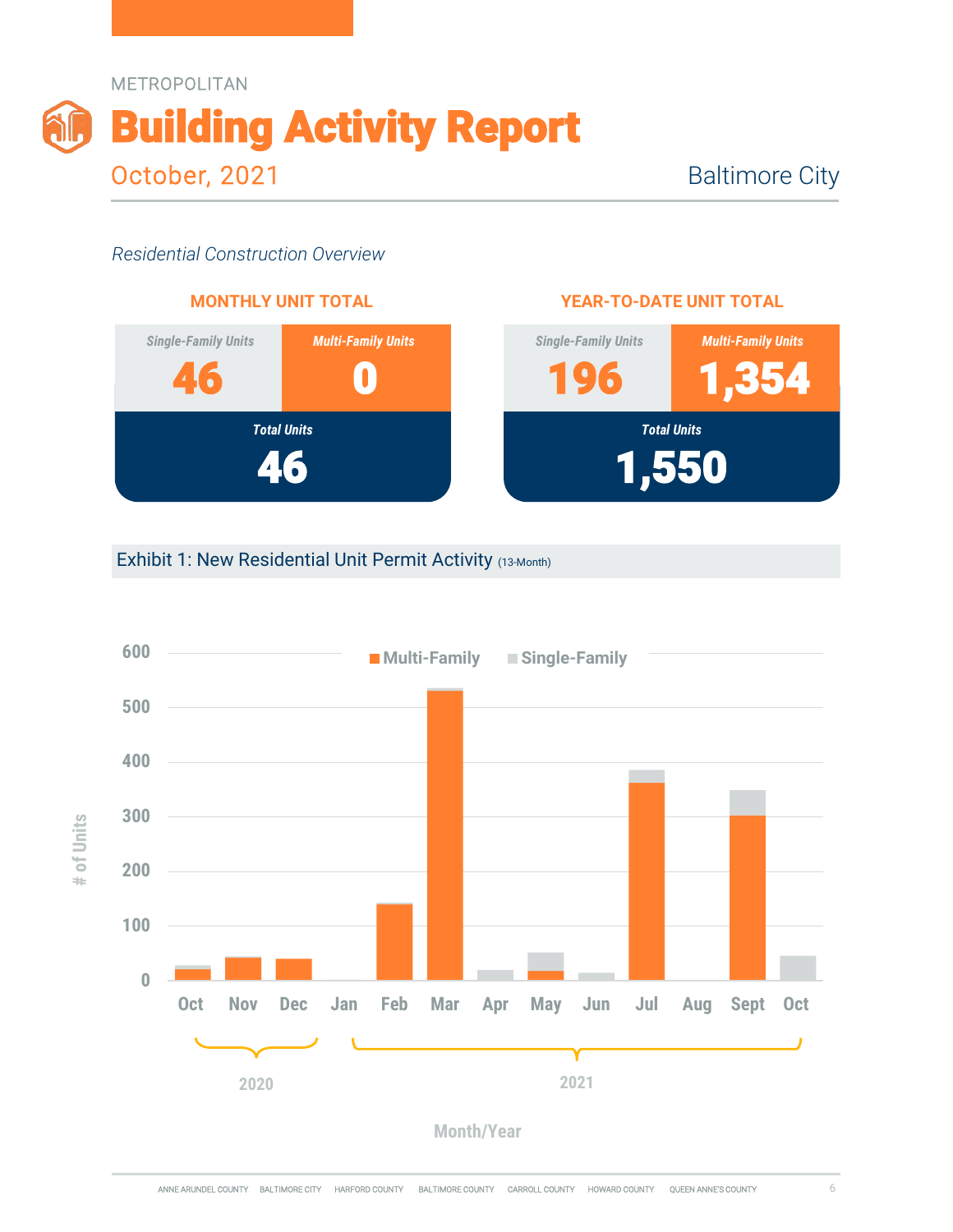



#### **YEAR-TO-DATE UNIT TOTAL**



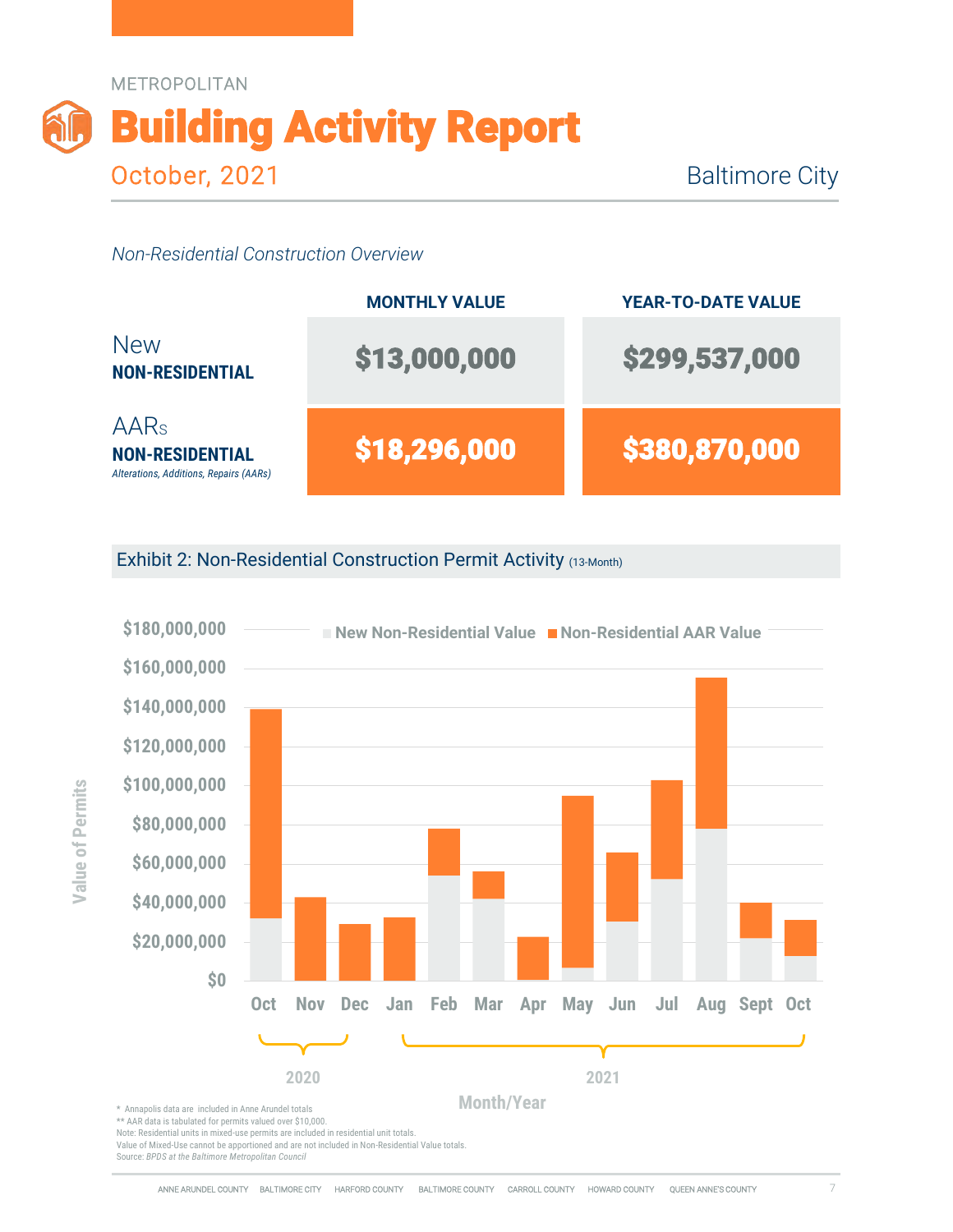

|                                                                                      | <b>MONTHLY VALUE</b> | <b>YEAR-TO-DATE VALUE</b> |
|--------------------------------------------------------------------------------------|----------------------|---------------------------|
| <b>New</b><br><b>NON-RESIDENTIAL</b>                                                 | \$13,000,000         | \$299,537,000             |
| AAR <sub>s</sub><br><b>NON-RESIDENTIAL</b><br>Alterations, Additions, Repairs (AARs) | \$18,296,000         | \$380,870,000             |

Exhibit 2: Non-Residential Construction Permit Activity (13-Month)



\*\* AAR data is tabulated for permits valued over \$10,000.

Note: Residential units in mixed-use permits are included in residential unit totals.

Value of Mixed-Use cannot be apportioned and are not included in Non-Residential Value totals.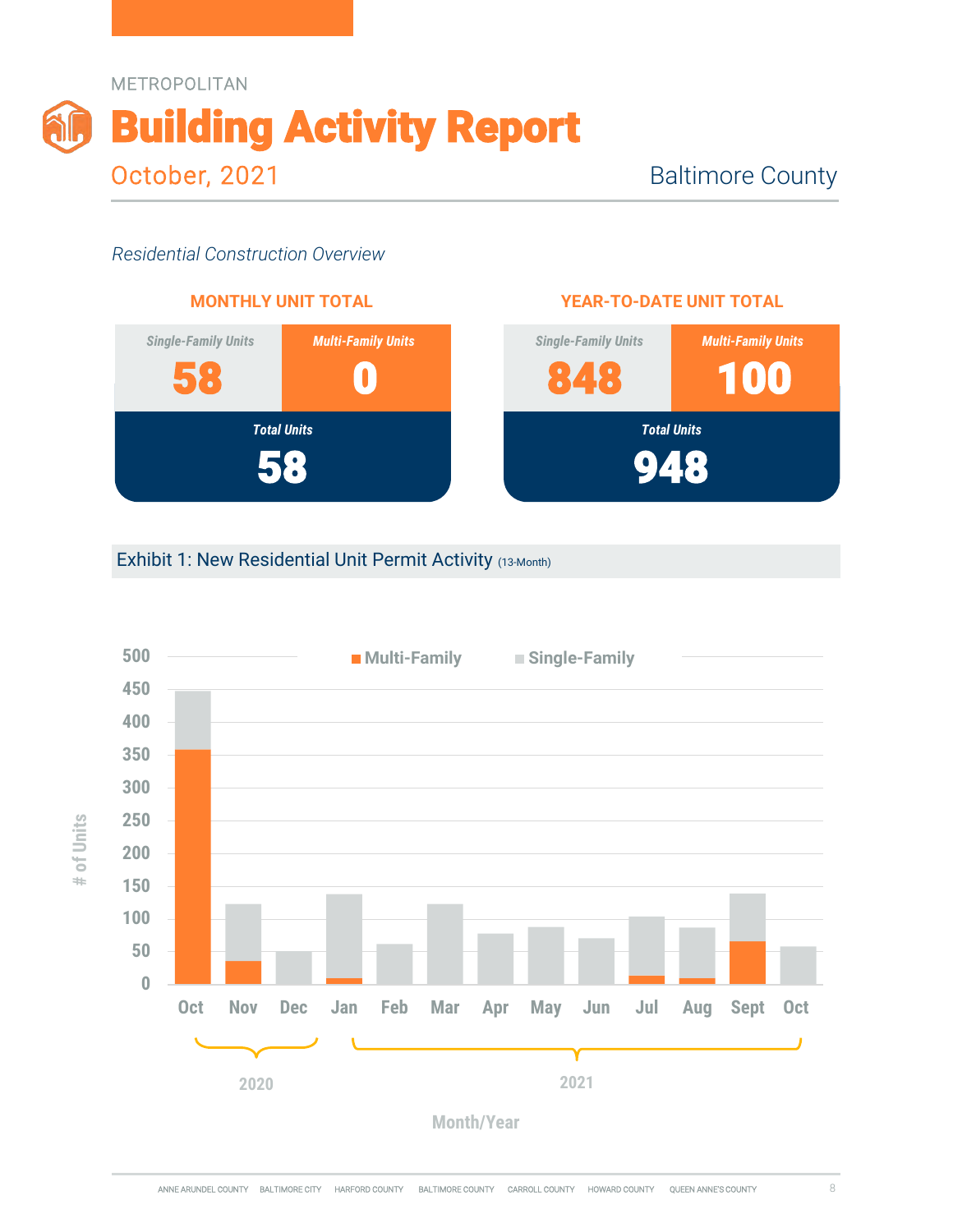



#### **YEAR-TO-DATE UNIT TOTAL**



# Exhibit 1: New Residential Unit Permit Activity (13-Month)



**# of Units**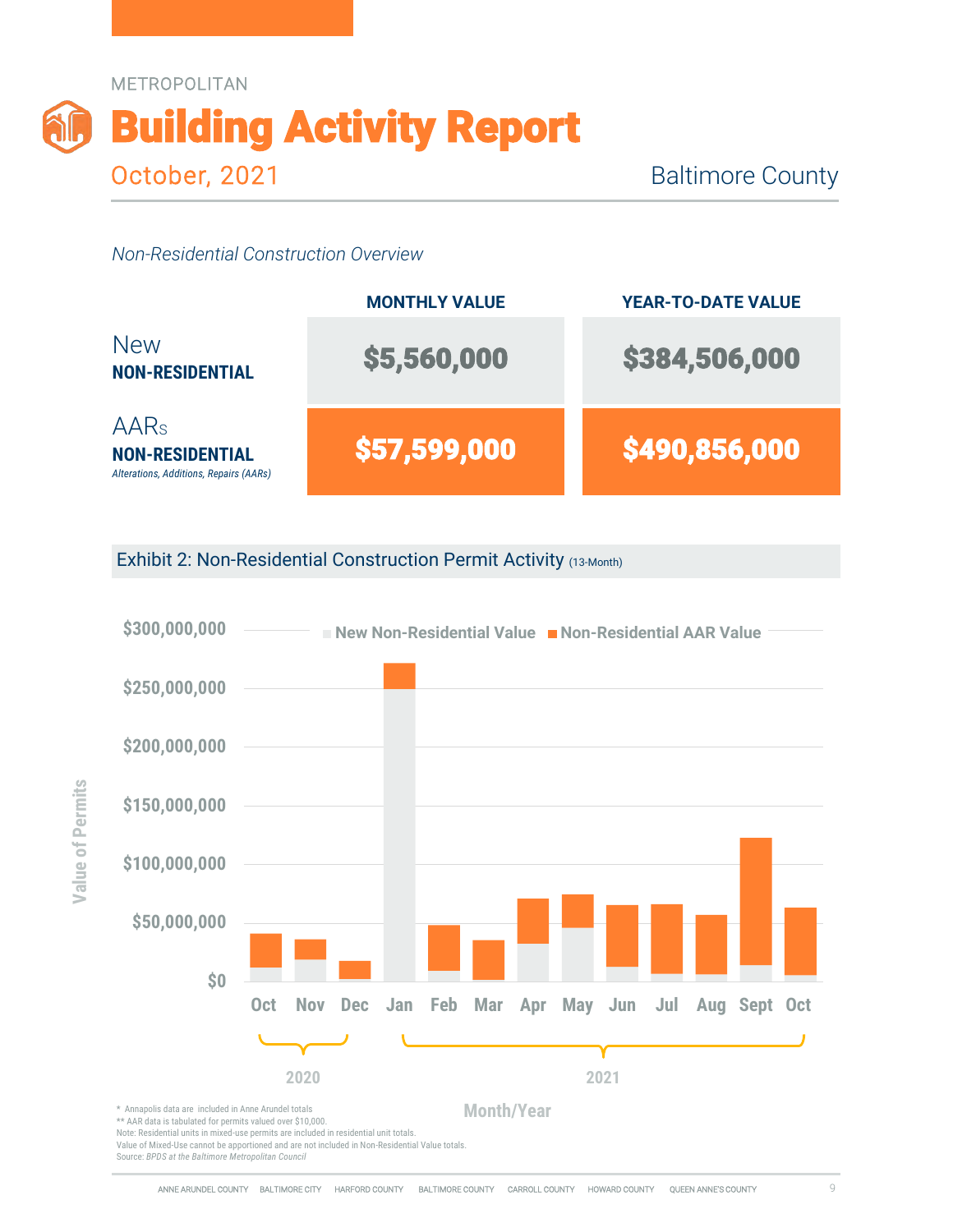



Exhibit 2: Non-Residential Construction Permit Activity (13-Month)



Note: Residential units in mixed-use permits are included in residential unit totals.

Value of Mixed-Use cannot be apportioned and are not included in Non-Residential Value totals.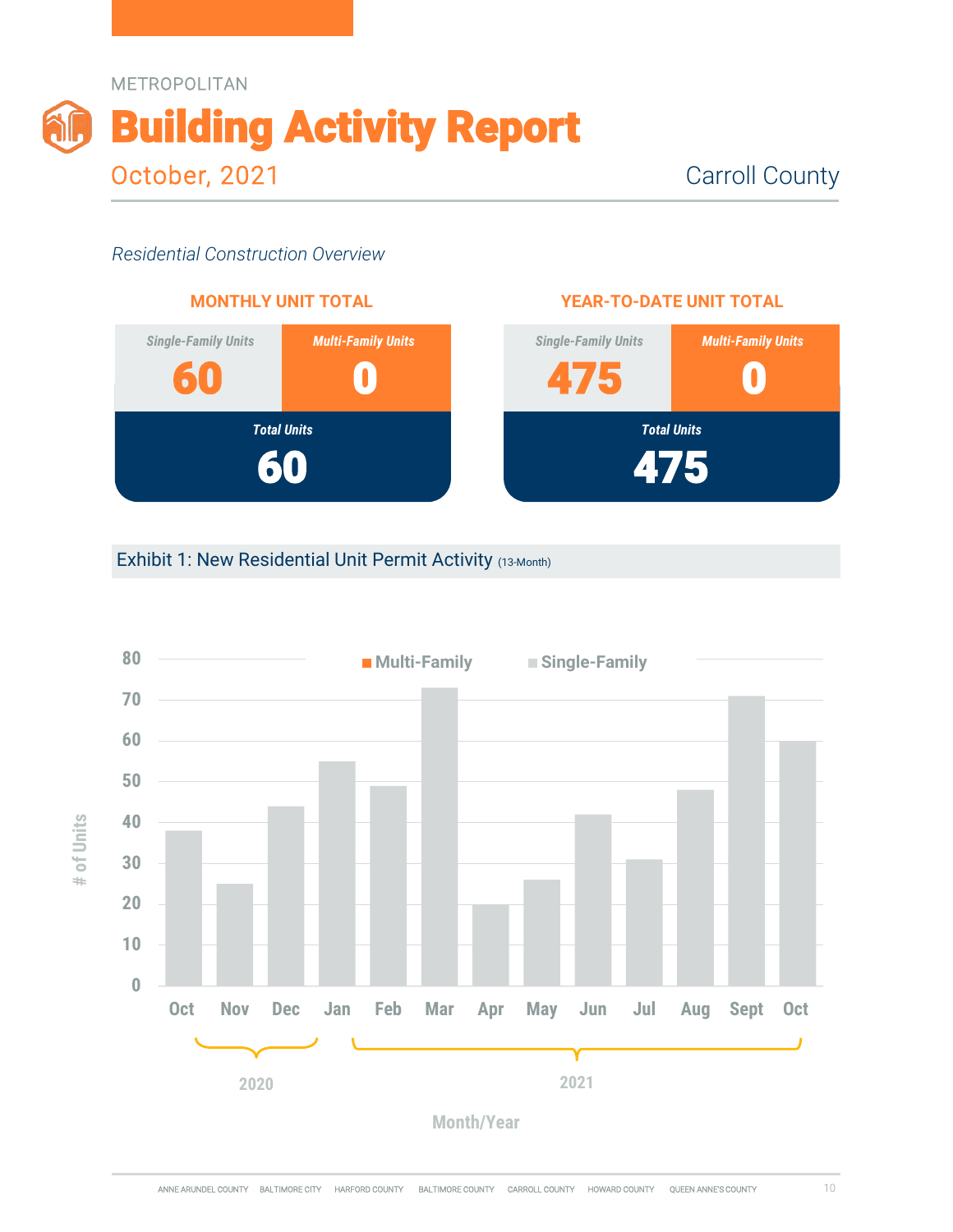



#### Exhibit 1: New Residential Unit Permit Activity (13-Month)



10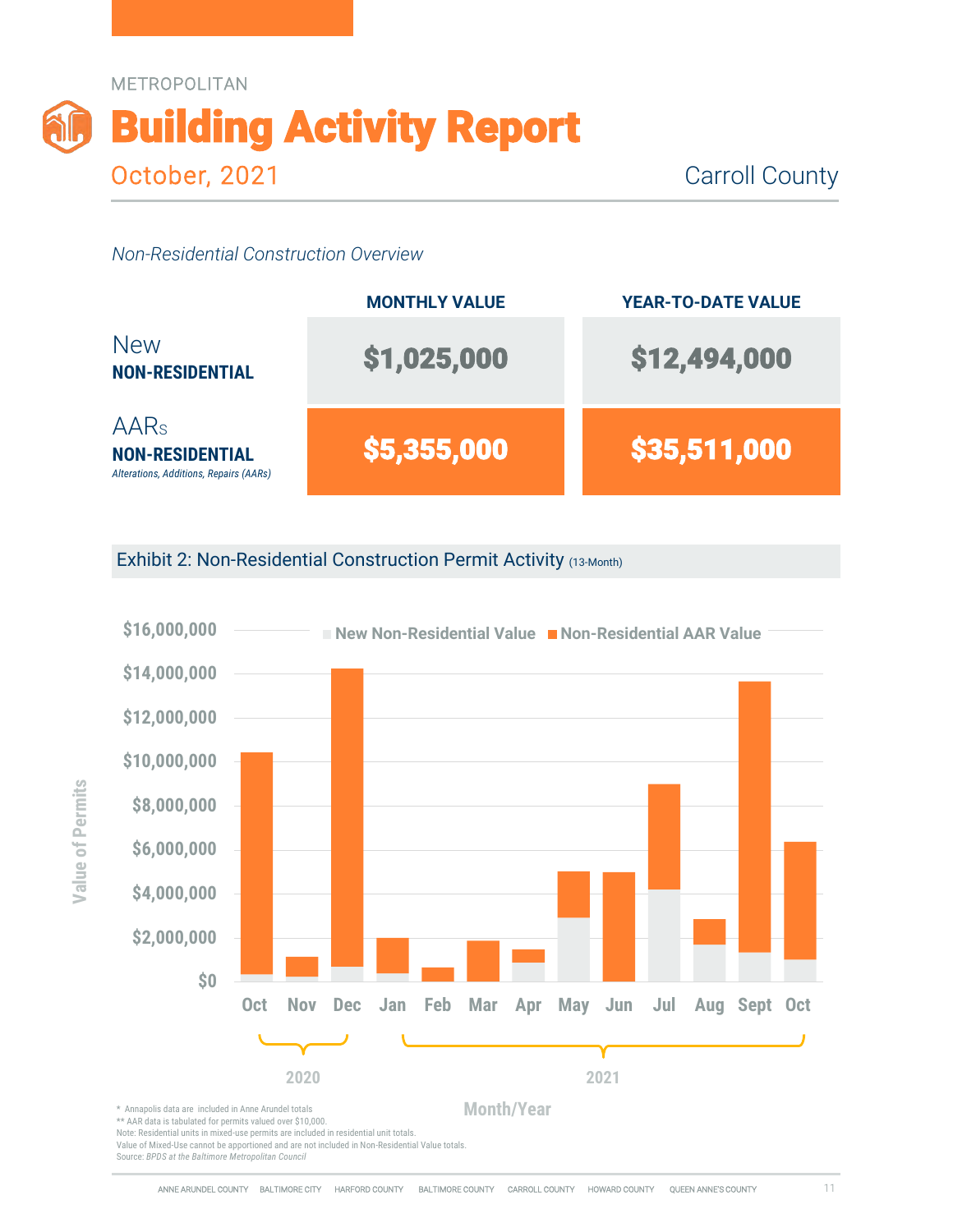

|                                                                                 | <b>MONTHLY VALUE</b> | <b>YEAR-TO-DATE VALUE</b> |
|---------------------------------------------------------------------------------|----------------------|---------------------------|
| <b>New</b><br><b>NON-RESIDENTIAL</b>                                            | \$1,025,000          | \$12,494,000              |
| <b>AARs</b><br><b>NON-RESIDENTIAL</b><br>Alterations, Additions, Repairs (AARs) | \$5,355,000          | \$35,511,000              |

Exhibit 2: Non-Residential Construction Permit Activity (13-Month)



\*\* AAR data is tabulated for permits valued over \$10,000.

Note: Residential units in mixed-use permits are included in residential unit totals.

Value of Mixed-Use cannot be apportioned and are not included in Non-Residential Value totals.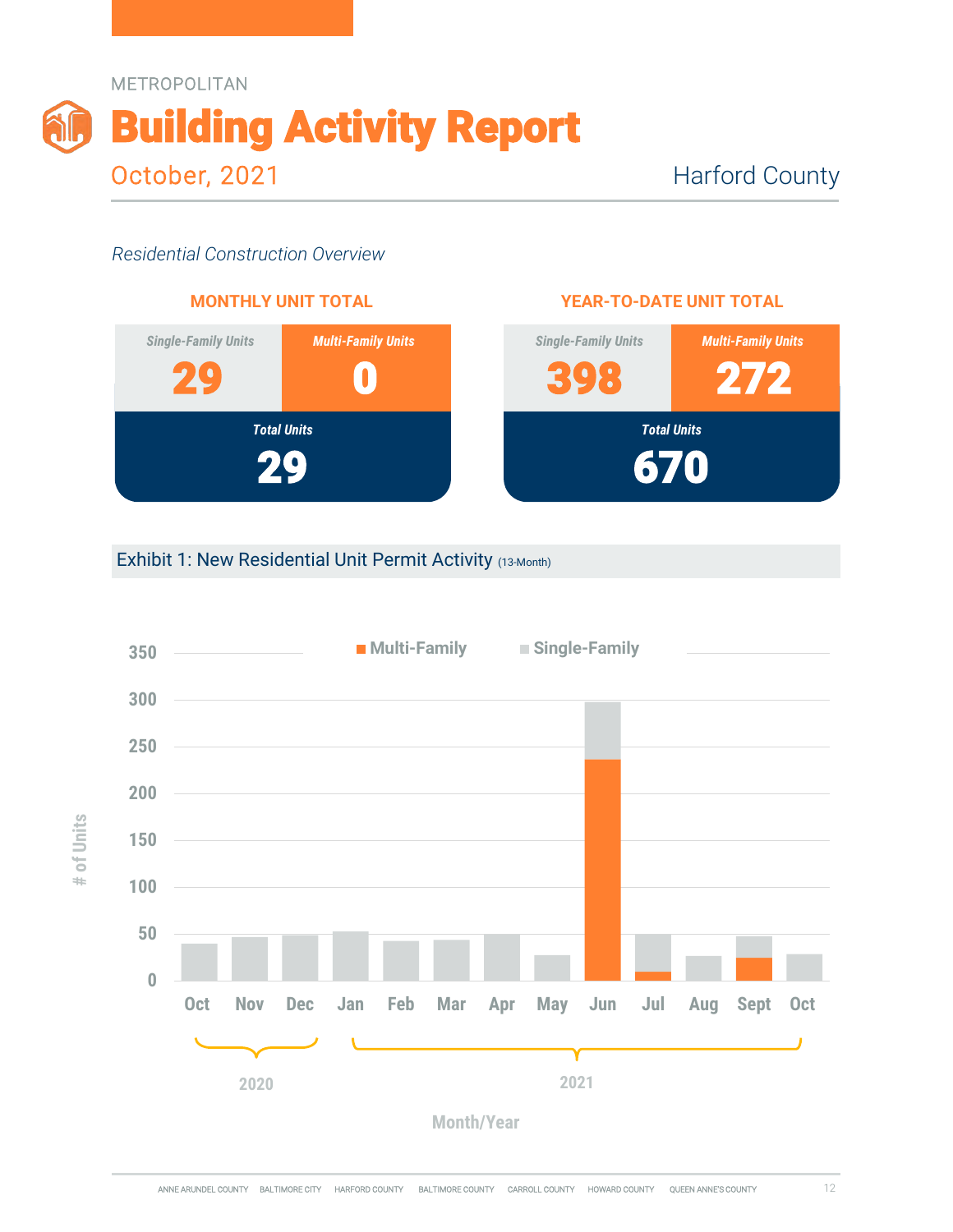



#### **YEAR-TO-DATE UNIT TOTAL**



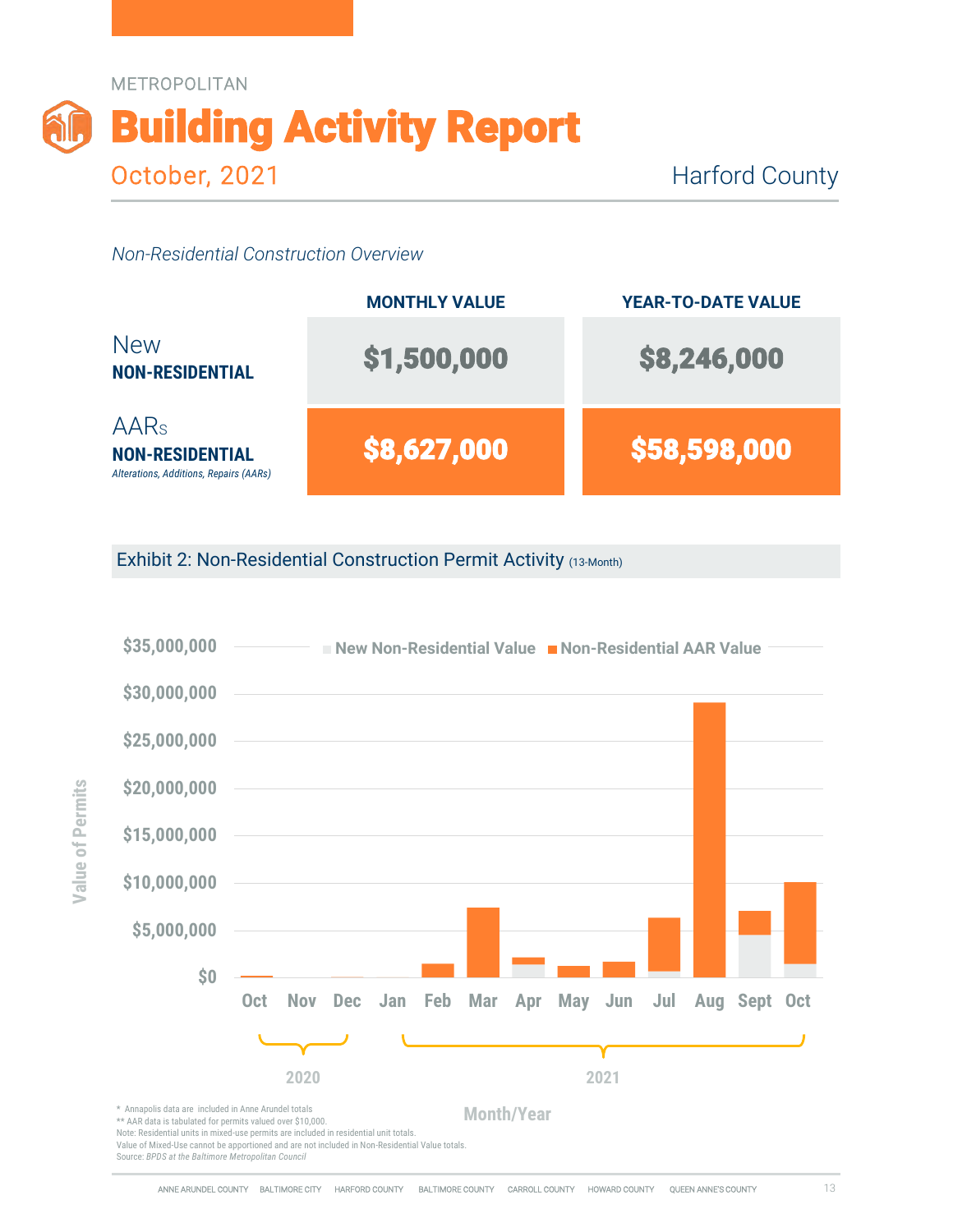

|                                                                                 | <b>MONTHLY VALUE</b> | <b>YEAR-TO-DATE VALUE</b> |
|---------------------------------------------------------------------------------|----------------------|---------------------------|
| <b>New</b><br><b>NON-RESIDENTIAL</b>                                            | \$1,500,000          | \$8,246,000               |
| <b>AARs</b><br><b>NON-RESIDENTIAL</b><br>Alterations, Additions, Repairs (AARs) | \$8,627,000          | \$58,598,000              |

Exhibit 2: Non-Residential Construction Permit Activity (13-Month)

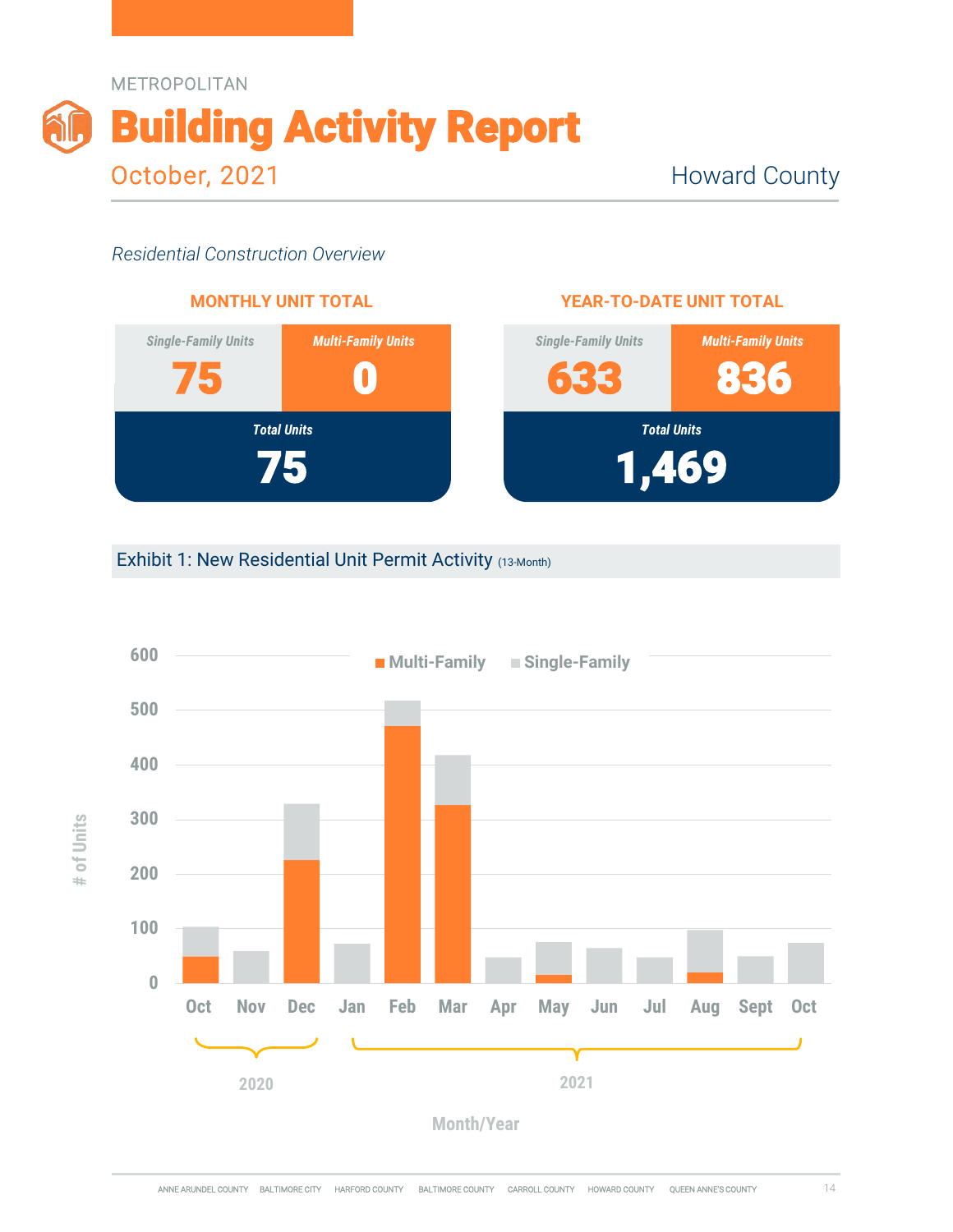



#### **YEAR-TO-DATE UNIT TOTAL**



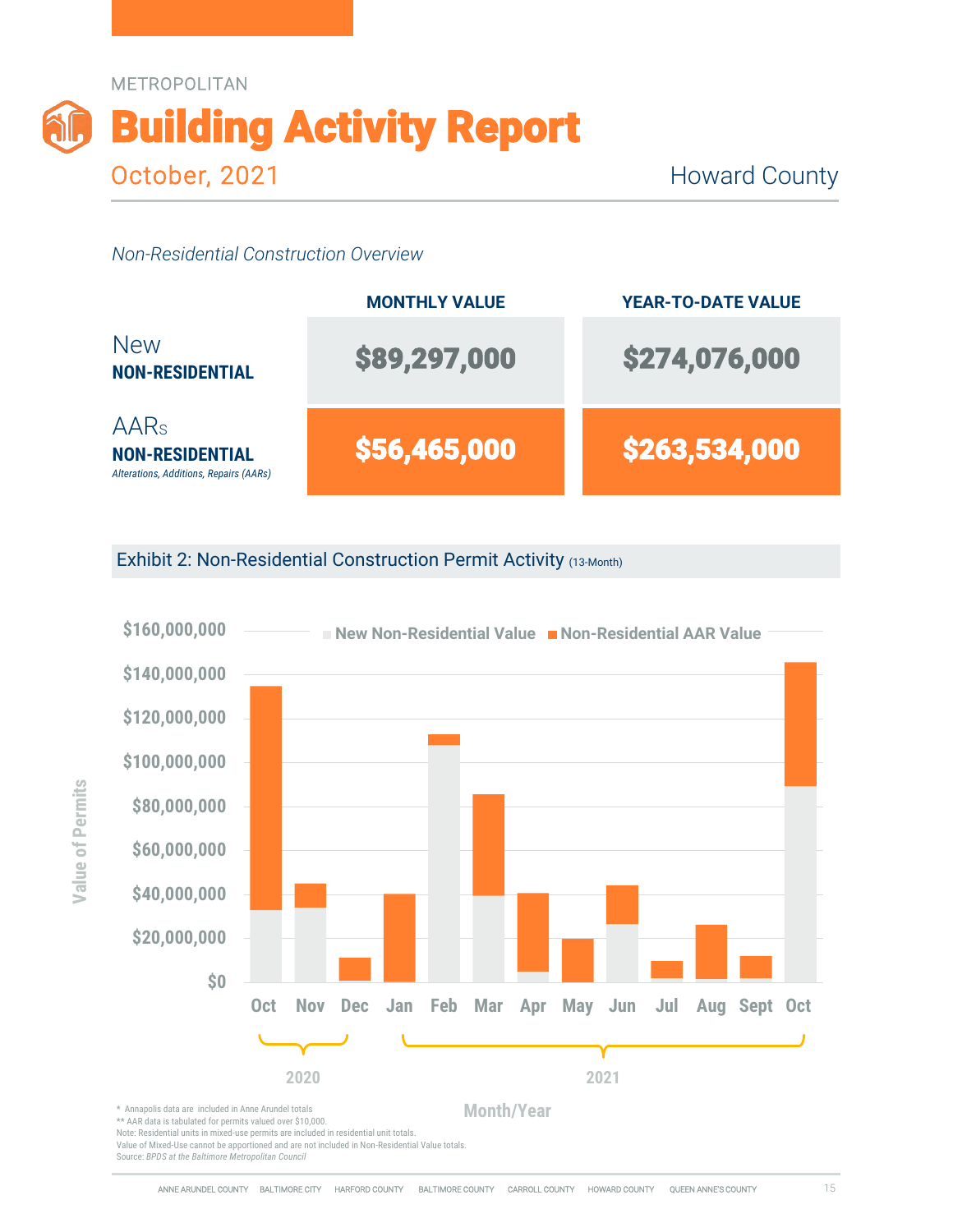

|                                                                                      | <b>MONTHLY VALUE</b> | <b>YEAR-TO-DATE VALUE</b> |
|--------------------------------------------------------------------------------------|----------------------|---------------------------|
| <b>New</b><br><b>NON-RESIDENTIAL</b>                                                 | \$89,297,000         | \$274,076,000             |
| AAR <sub>s</sub><br><b>NON-RESIDENTIAL</b><br>Alterations, Additions, Repairs (AARs) | \$56,465,000         | \$263,534,000             |

Exhibit 2: Non-Residential Construction Permit Activity (13-Month)



\*\* AAR data is tabulated for permits valued over \$10,000.

Note: Residential units in mixed-use permits are included in residential unit totals.

Value of Mixed-Use cannot be apportioned and are not included in Non-Residential Value totals.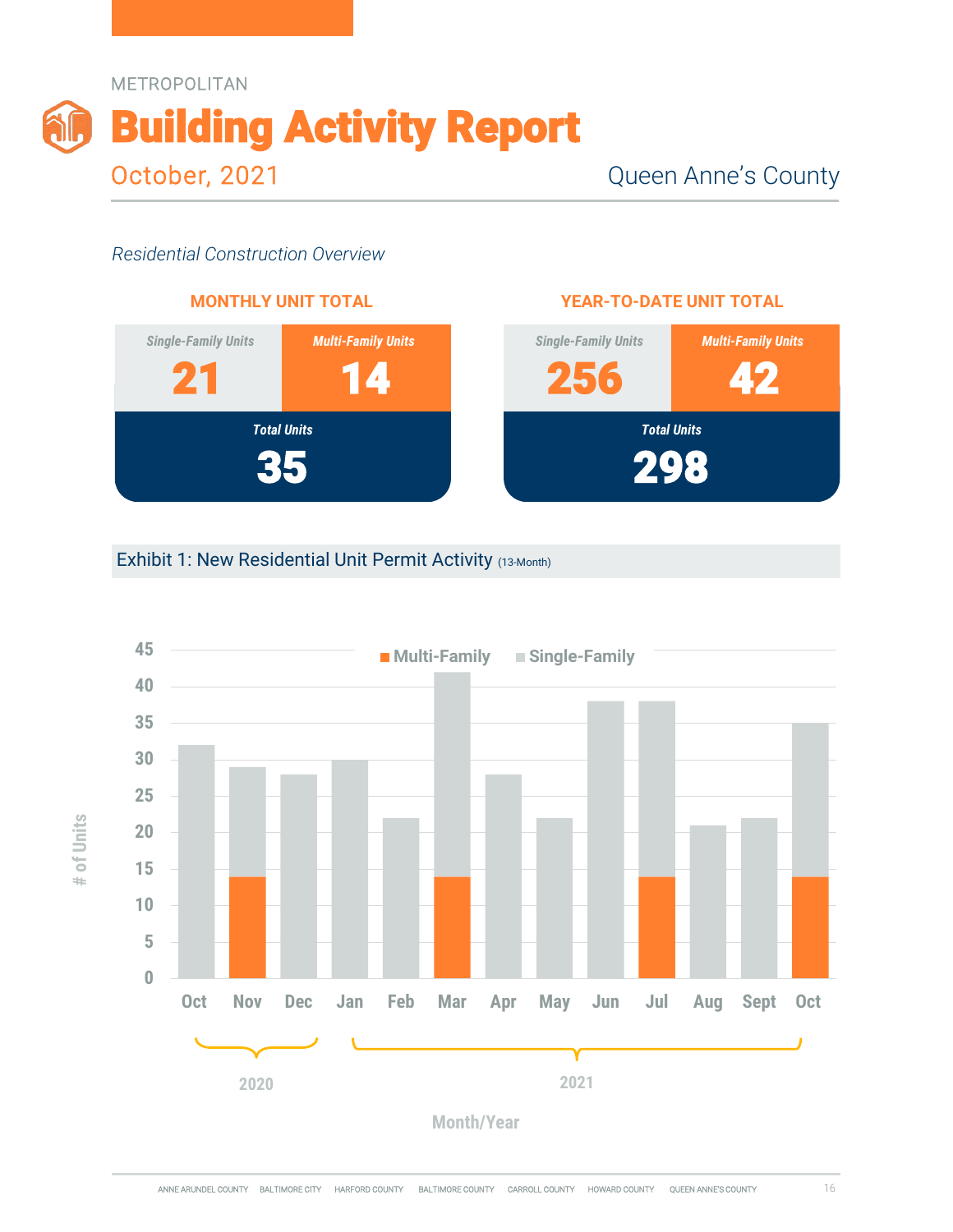



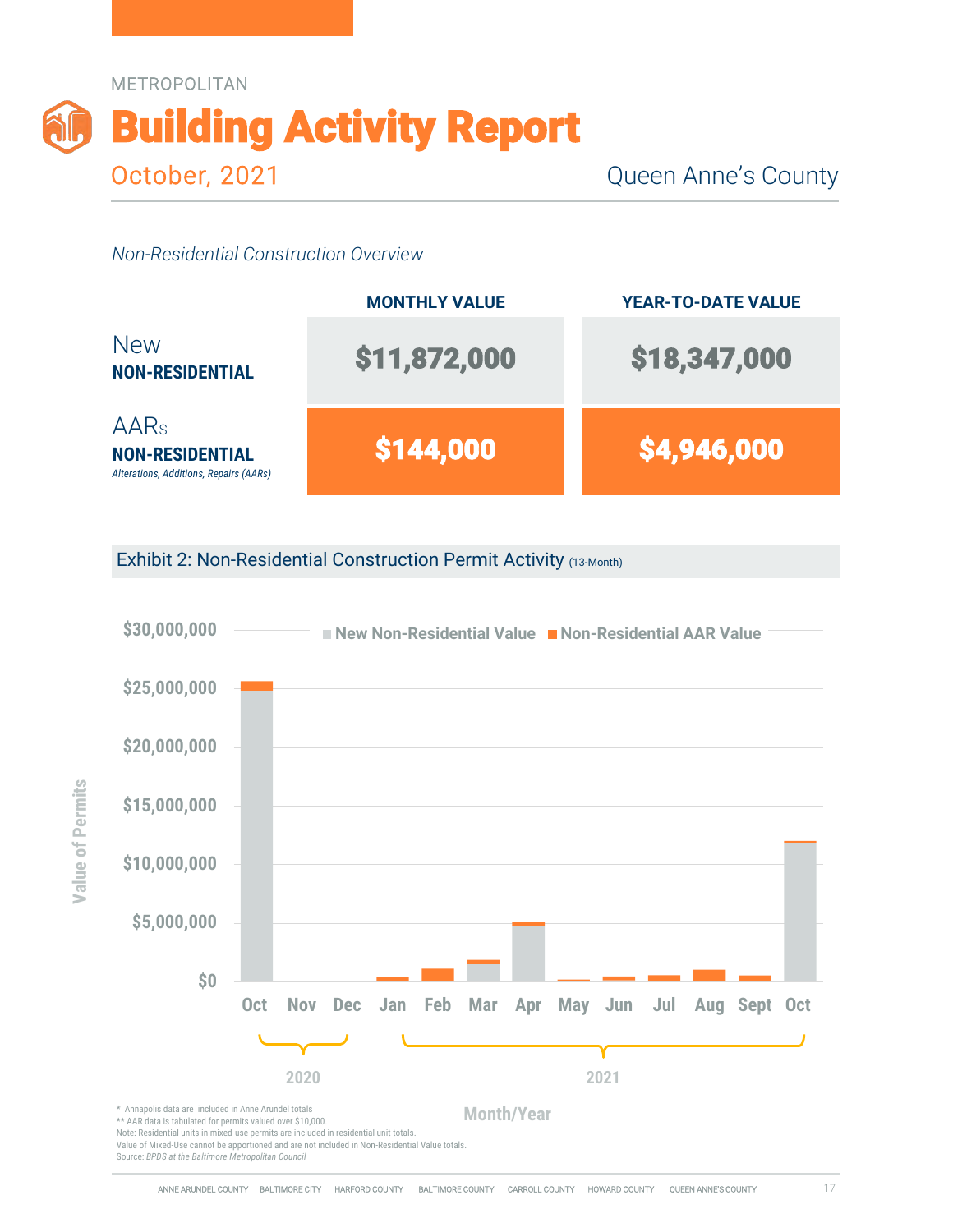

|                                                                                 | <b>MONTHLY VALUE</b> | <b>YEAR-TO-DATE VALUE</b> |
|---------------------------------------------------------------------------------|----------------------|---------------------------|
| <b>New</b><br><b>NON-RESIDENTIAL</b>                                            | \$11,872,000         | \$18,347,000              |
| <b>AARs</b><br><b>NON-RESIDENTIAL</b><br>Alterations, Additions, Repairs (AARs) | \$144,000            | \$4,946,000               |

Exhibit 2: Non-Residential Construction Permit Activity (13-Month)

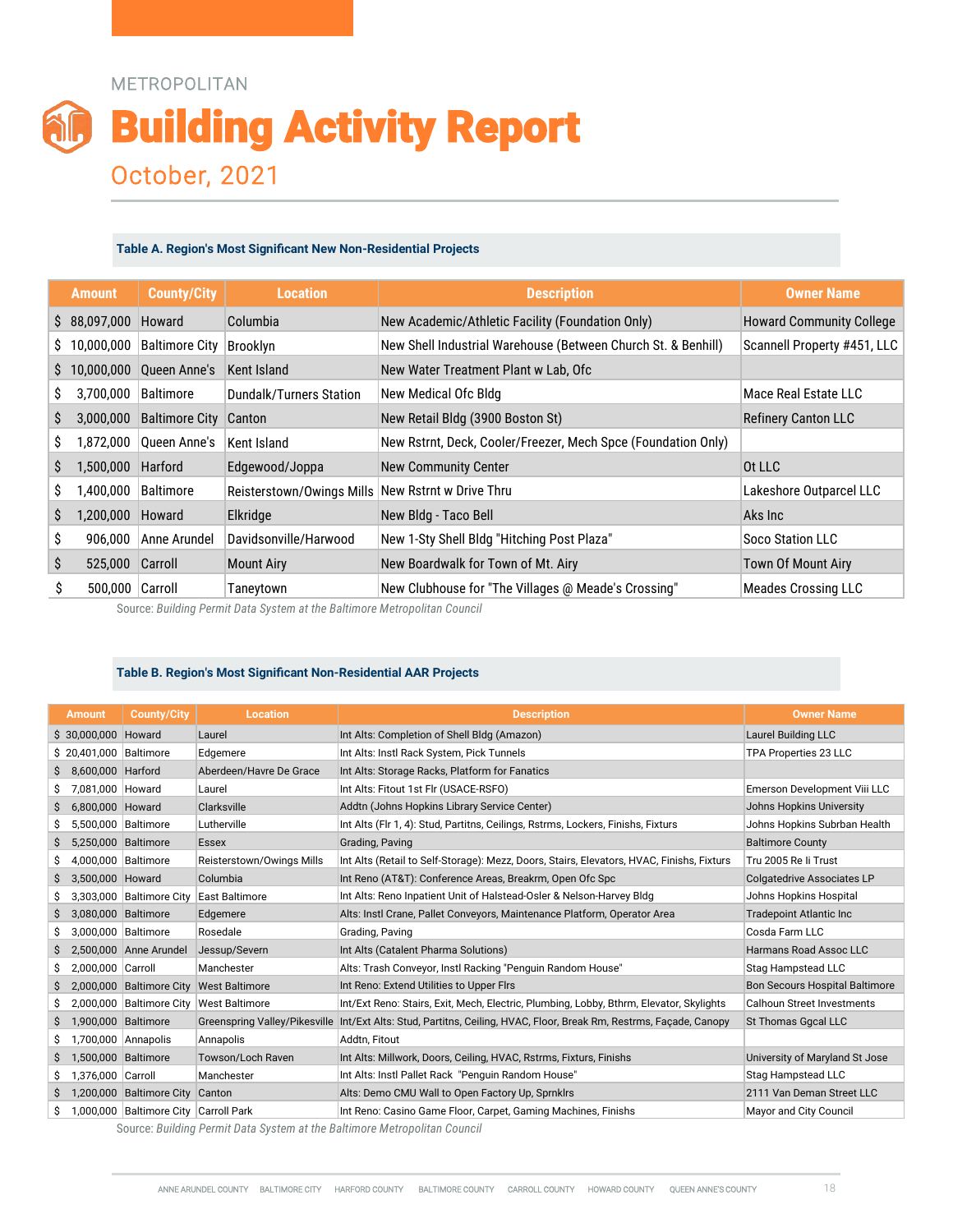#### METROPOLITAN

# Building Activity Report October, 2021

#### **Table A. Region's Most Significant New Non-Residential Projects**

| <b>METROPOLITAN</b><br><b>Building Activity Report</b>                                                                                                                                                               |                                                  |
|----------------------------------------------------------------------------------------------------------------------------------------------------------------------------------------------------------------------|--------------------------------------------------|
|                                                                                                                                                                                                                      |                                                  |
|                                                                                                                                                                                                                      |                                                  |
|                                                                                                                                                                                                                      |                                                  |
|                                                                                                                                                                                                                      |                                                  |
|                                                                                                                                                                                                                      |                                                  |
|                                                                                                                                                                                                                      |                                                  |
|                                                                                                                                                                                                                      |                                                  |
|                                                                                                                                                                                                                      |                                                  |
|                                                                                                                                                                                                                      |                                                  |
|                                                                                                                                                                                                                      |                                                  |
|                                                                                                                                                                                                                      |                                                  |
|                                                                                                                                                                                                                      |                                                  |
|                                                                                                                                                                                                                      |                                                  |
|                                                                                                                                                                                                                      |                                                  |
|                                                                                                                                                                                                                      |                                                  |
|                                                                                                                                                                                                                      |                                                  |
|                                                                                                                                                                                                                      |                                                  |
|                                                                                                                                                                                                                      |                                                  |
|                                                                                                                                                                                                                      |                                                  |
| October, 2021                                                                                                                                                                                                        |                                                  |
|                                                                                                                                                                                                                      |                                                  |
|                                                                                                                                                                                                                      |                                                  |
| Table A. Region's Most Significant New Non-Residential Projects                                                                                                                                                      |                                                  |
|                                                                                                                                                                                                                      |                                                  |
| <b>County/City</b><br><b>Description</b><br><b>Location</b><br><b>Amount</b>                                                                                                                                         | <b>Owner Name</b>                                |
| \$ 88,097,000 Howard<br>New Academic/Athletic Facility (Foundation Only)<br>Columbia                                                                                                                                 | <b>Howard Community College</b>                  |
| 10,000,000 Baltimore City<br>New Shell Industrial Warehouse (Between Church St. & Benhill)<br>Brooklyn                                                                                                               | Scannell Property #451, LLC                      |
| 10,000,000 Queen Anne's<br><b>Kent Island</b><br>New Water Treatment Plant w Lab, Ofc                                                                                                                                |                                                  |
| 3,700,000 Baltimore<br><b>Dundalk/Turners Station</b><br>New Medical Ofc Bldg                                                                                                                                        | Mace Real Estate LLC                             |
| <b>Baltimore City Canton</b><br>3,000,000<br>New Retail Bldg (3900 Boston St)                                                                                                                                        | <b>Refinery Canton LLC</b>                       |
| New Rstrnt, Deck, Cooler/Freezer, Mech Spce (Foundation Only)<br>1,872,000<br>Queen Anne's<br>Kent Island                                                                                                            |                                                  |
| 1,500,000<br>Harford<br>Edgewood/Joppa<br><b>New Community Center</b>                                                                                                                                                | Ot LLC                                           |
| 1,400,000<br>New Rstrnt w Drive Thru<br>Baltimore<br>Reisterstown/Owings Mills                                                                                                                                       | Lakeshore Outparcel LLC                          |
| 1,200,000<br>Howard<br>Elkridge<br>New Bldg - Taco Bell                                                                                                                                                              | Aks Inc                                          |
| Davidsonville/Harwood<br>New 1-Sty Shell Bldg "Hitching Post Plaza"<br>906,000<br>Anne Arundel                                                                                                                       | Soco Station LLC                                 |
| \$<br>New Boardwalk for Town of Mt. Airy<br>Carroll<br>525,000<br><b>Mount Airy</b>                                                                                                                                  | <b>Town Of Mount Airy</b>                        |
| \$<br>500,000 Carroll<br>New Clubhouse for "The Villages @ Meade's Crossing"<br>Taneytown                                                                                                                            | <b>Meades Crossing LLC</b>                       |
| Source: Building Permit Data System at the Baltimore Metropolitan Council                                                                                                                                            |                                                  |
|                                                                                                                                                                                                                      |                                                  |
|                                                                                                                                                                                                                      |                                                  |
|                                                                                                                                                                                                                      |                                                  |
| Table B. Region's Most Significant Non-Residential AAR Projects                                                                                                                                                      |                                                  |
| <b>County/City</b><br><b>Location</b><br><b>Description</b>                                                                                                                                                          | <b>Owner Name</b>                                |
| Laurel<br>Int Alts: Completion of Shell Bldg (Amazon)                                                                                                                                                                | Laurel Building LLC                              |
| <b>Amount</b><br>Edgemere<br>Int Alts: Instl Rack System, Pick Tunnels                                                                                                                                               | TPA Properties 23 LLC                            |
| 8,600,000 Harford<br>Aberdeen/Havre De Grace<br>Int Alts: Storage Racks, Platform for Fanatics<br>7,081,000 Howard<br>Int Alts: Fitout 1st Flr (USACE-RSFO)<br>Laurel                                                | Emerson Development Viii LLC                     |
| Clarksville<br>6,800,000 Howard<br>Addtn (Johns Hopkins Library Service Center)                                                                                                                                      | Johns Hopkins University                         |
| Int Alts (Flr 1, 4): Stud, Partitns, Ceilings, Rstrms, Lockers, Finishs, Fixturs<br>5,500,000 Baltimore<br>Lutherville                                                                                               | Johns Hopkins Subrban Health                     |
| 5,250,000 Baltimore<br><b>Essex</b><br>Grading, Paving<br>4,000,000 Baltimore<br>Reisterstown/Owings Mills<br>Int Alts (Retail to Self-Storage): Mezz, Doors, Stairs, Elevators, HVAC, Finishs, Fixturs              | <b>Baltimore County</b><br>Tru 2005 Re li Trust  |
| Int Reno (AT&T): Conference Areas, Breakrm, Open Ofc Spc<br>3,500,000 Howard<br>Columbia                                                                                                                             | Colgatedrive Associates LP                       |
| 3,303,000 Baltimore City<br><b>East Baltimore</b><br>Int Alts: Reno Inpatient Unit of Halstead-Osler & Nelson-Harvey Bldg                                                                                            | Johns Hopkins Hospital                           |
| \$ 30,000,000 Howard<br>\$ 20,401,000 Baltimore<br>3,080,000 Baltimore<br>Edgemere<br>Alts: Instl Crane, Pallet Conveyors, Maintenance Platform, Operator Area<br>Rosedale<br>3,000,000 Baltimore<br>Grading, Paving | <b>Tradepoint Atlantic Inc</b><br>Cosda Farm LLC |

#### **Table B. Region's Most Significant Non-Residential AAR Projects**

|                                                                                                                             |                                                      | Table A. Region's Most Significant New Non-Residential Projects                        |                 |                                                                                                                                  |                                                      |
|-----------------------------------------------------------------------------------------------------------------------------|------------------------------------------------------|----------------------------------------------------------------------------------------|-----------------|----------------------------------------------------------------------------------------------------------------------------------|------------------------------------------------------|
| <b>Amount</b>                                                                                                               | <b>County/City</b>                                   | <b>Location</b>                                                                        |                 | <b>Description</b>                                                                                                               | <b>Owner Name</b>                                    |
| \$88,097,000                                                                                                                | Howard                                               | Columbia                                                                               |                 | New Academic/Athletic Facility (Foundation Only)                                                                                 | <b>Howard Community College</b>                      |
| \$ 10,000,000 Baltimore City                                                                                                |                                                      | Brooklyn                                                                               |                 | New Shell Industrial Warehouse (Between Church St. & Benhill)                                                                    | Scannell Property #451, LLC                          |
|                                                                                                                             |                                                      |                                                                                        |                 |                                                                                                                                  |                                                      |
| Ş.                                                                                                                          | 10,000,000 Queen Anne's                              | <b>Kent Island</b>                                                                     |                 | New Water Treatment Plant w Lab, Ofc                                                                                             |                                                      |
| 3,700,000<br>S                                                                                                              | Baltimore                                            | <b>Dundalk/Turners Station</b>                                                         |                 | New Medical Ofc Bldg                                                                                                             | Mace Real Estate LLC                                 |
| \$                                                                                                                          | 3,000,000 Baltimore City Canton                      |                                                                                        |                 | New Retail Bldg (3900 Boston St)                                                                                                 | <b>Refinery Canton LLC</b>                           |
| \$<br>1,872,000                                                                                                             | Queen Anne's                                         | Kent Island                                                                            |                 | New Rstrnt, Deck, Cooler/Freezer, Mech Spce (Foundation Only)                                                                    |                                                      |
| \$<br>1,500,000                                                                                                             | Harford                                              | Edgewood/Joppa                                                                         |                 | <b>New Community Center</b>                                                                                                      | Ot LLC                                               |
| \$<br>1,400,000                                                                                                             | Baltimore                                            |                                                                                        |                 | Reisterstown/Owings Mills New Rstrnt w Drive Thru                                                                                | Lakeshore Outparcel LLC                              |
| \$                                                                                                                          | 1,200,000 Howard                                     | Elkridge                                                                               |                 | New Bldg - Taco Bell                                                                                                             | Aks Inc                                              |
|                                                                                                                             |                                                      |                                                                                        |                 |                                                                                                                                  |                                                      |
| \$<br>906,000                                                                                                               | Anne Arundel                                         | Davidsonville/Harwood                                                                  |                 | New 1-Sty Shell Bldg "Hitching Post Plaza"                                                                                       | Soco Station LLC                                     |
| \$                                                                                                                          | 525,000 Carroll                                      | <b>Mount Airy</b>                                                                      |                 | New Boardwalk for Town of Mt. Airy                                                                                               | Town Of Mount Airy                                   |
| \$                                                                                                                          | 500,000 Carroll                                      |                                                                                        |                 |                                                                                                                                  |                                                      |
|                                                                                                                             |                                                      | Taneytown<br>Source: Building Permit Data System at the Baltimore Metropolitan Council |                 | New Clubhouse for "The Villages @ Meade's Crossing"                                                                              | <b>Meades Crossing LLC</b>                           |
|                                                                                                                             |                                                      | Table B. Region's Most Significant Non-Residential AAR Projects                        |                 |                                                                                                                                  |                                                      |
| <b>Amount</b>                                                                                                               | <b>County/City</b>                                   | <b>Location</b>                                                                        |                 | <b>Description</b>                                                                                                               | <b>Owner Name</b>                                    |
|                                                                                                                             |                                                      | Laurel                                                                                 |                 | Int Alts: Completion of Shell Bldg (Amazon)                                                                                      | <b>Laurel Building LLC</b>                           |
|                                                                                                                             |                                                      | Edgemere                                                                               |                 | Int Alts: Instl Rack System, Pick Tunnels                                                                                        | TPA Properties 23 LLC                                |
| 8,600,000 Harford<br>7,081,000 Howard                                                                                       |                                                      | Aberdeen/Havre De Grace<br>Laurel                                                      |                 | Int Alts: Storage Racks, Platform for Fanatics<br>Int Alts: Fitout 1st Flr (USACE-RSFO)                                          | Emerson Development Viii LLC                         |
| 6,800,000 Howard                                                                                                            |                                                      | Clarksville                                                                            |                 | Addtn (Johns Hopkins Library Service Center)                                                                                     | Johns Hopkins University                             |
| 5,500,000 Baltimore                                                                                                         |                                                      | Lutherville                                                                            |                 | Int Alts (Flr 1, 4): Stud, Partitns, Ceilings, Rstrms, Lockers, Finishs, Fixturs                                                 | Johns Hopkins Subrban Health                         |
| 5,250,000 Baltimore                                                                                                         |                                                      | <b>Essex</b>                                                                           | Grading, Paving |                                                                                                                                  | <b>Baltimore County</b>                              |
| 4,000,000 Baltimore                                                                                                         |                                                      | Reisterstown/Owings Mills                                                              |                 | Int Alts (Retail to Self-Storage): Mezz, Doors, Stairs, Elevators, HVAC, Finishs, Fixturs                                        | Tru 2005 Re li Trust                                 |
| 3,500,000 Howard                                                                                                            | 3,303,000 Baltimore City East Baltimore              | Columbia                                                                               |                 | Int Reno (AT&T): Conference Areas, Breakrm, Open Ofc Spc<br>Int Alts: Reno Inpatient Unit of Halstead-Osler & Nelson-Harvey Bldg | Colgatedrive Associates LP<br>Johns Hopkins Hospital |
| \$ 30,000,000 Howard<br>\$ 20,401,000 Baltimore<br>\$<br>\$<br>\$<br>\$<br>\$<br>\$<br>\$<br>\$<br>3,080,000 Baltimore<br>s |                                                      | Edgemere                                                                               |                 | Alts: Instl Crane, Pallet Conveyors, Maintenance Platform, Operator Area                                                         | Tradepoint Atlantic Inc                              |
| 3,000,000 Baltimore                                                                                                         |                                                      | Rosedale                                                                               | Grading, Paving |                                                                                                                                  | Cosda Farm LLC                                       |
| \$<br>2,500,000 Anne Arundel<br>Ş.                                                                                          |                                                      | Jessup/Severn                                                                          |                 | Int Alts (Catalent Pharma Solutions)                                                                                             | Harmans Road Assoc LLC                               |
| 2,000,000 Carroll                                                                                                           |                                                      | Manchester<br><b>West Baltimore</b>                                                    |                 | Alts: Trash Conveyor, Instl Racking "Penguin Random House"<br>Int Reno: Extend Utilities to Upper Flrs                           | Stag Hampstead LLC                                   |
|                                                                                                                             | 2,000,000 Baltimore City<br>2,000,000 Baltimore City | <b>West Baltimore</b>                                                                  |                 | Int/Ext Reno: Stairs, Exit, Mech, Electric, Plumbing, Lobby, Bthrm, Elevator, Skylights                                          | Calhoun Street Investments                           |
| S<br>\$<br>\$<br>1,900,000 Baltimore<br>\$                                                                                  |                                                      |                                                                                        |                 | Greenspring Valley/Pikesville Int/Ext Alts: Stud, Partitns, Ceiling, HVAC, Floor, Break Rm, Restrms, Façade, Canopy              | St Thomas Ggcal LLC                                  |
| 1,700,000 Annapolis<br>\$                                                                                                   |                                                      | Annapolis                                                                              | Addtn, Fitout   |                                                                                                                                  | Bon Secours Hospital Baltimore                       |
| 1,500,000 Baltimore<br>Ş.<br>\$                                                                                             |                                                      | Towson/Loch Raven                                                                      |                 | Int Alts: Millwork, Doors, Ceiling, HVAC, Rstrms, Fixturs, Finishs                                                               | University of Maryland St Jose                       |
| 1,376,000 Carroll<br>\$                                                                                                     | 1,200,000 Baltimore City                             | Manchester<br>Canton                                                                   |                 | Int Alts: Instl Pallet Rack "Penguin Random House"<br>Alts: Demo CMU Wall to Open Factory Up, Sprnklrs                           | Stag Hampstead LLC<br>2111 Van Deman Street LLC      |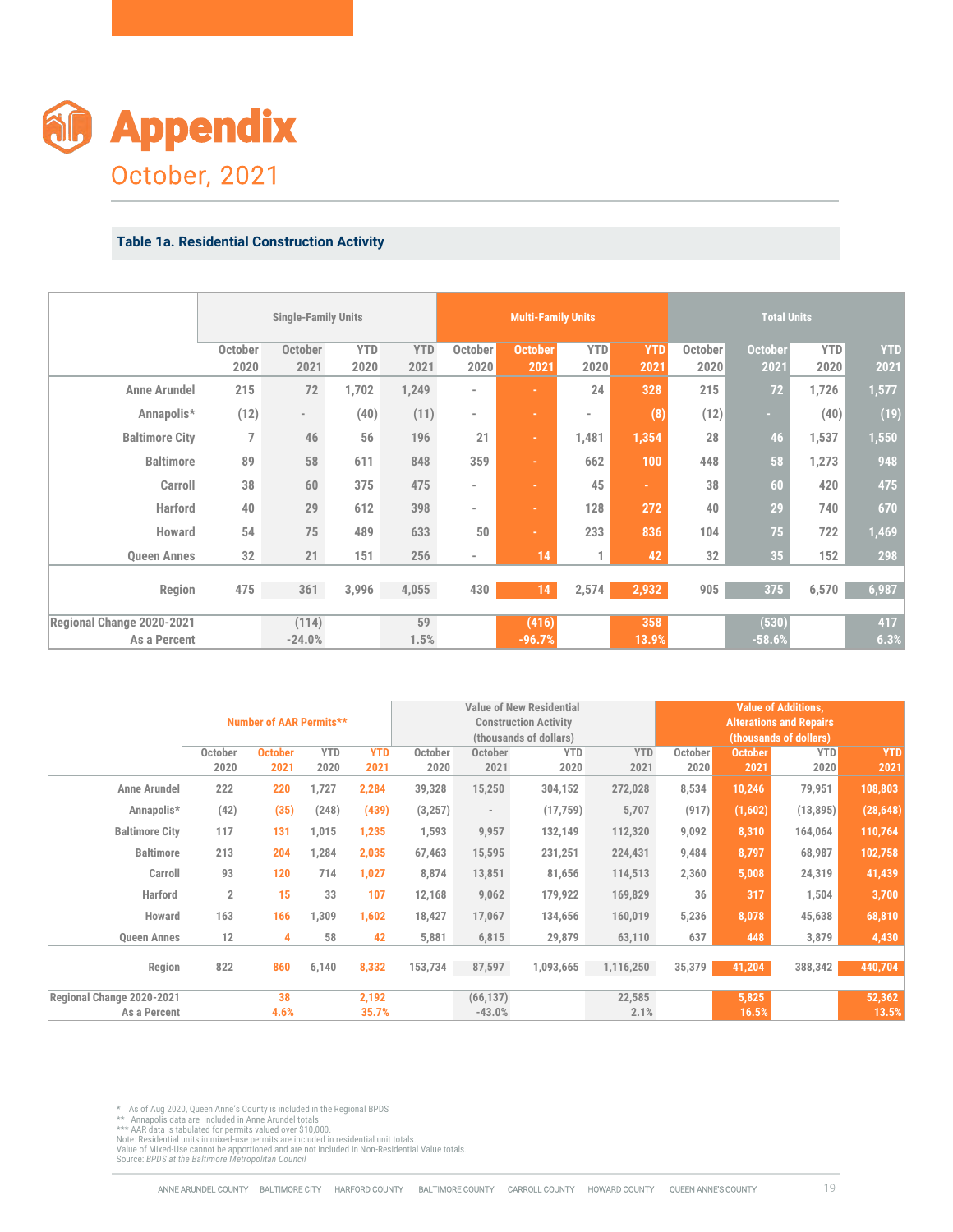

#### **Table 1a. Residential Construction Activity**

|                                         | <b>October</b>                                                           | <b>YTD</b>                                                                                                            | <b>YTD</b>                                                                                                                                                                                                                                                     | <b>October</b>                                             | <b>October</b>                                                         |                                                                                     | YTD                                                                                                                                                                                                              | <b>October</b>                                                                                       | <b>October</b>                                                             | <b>YTD</b>                                                                              | <b>YTD</b><br>2021                                                                                                                                                                                                        |
|-----------------------------------------|--------------------------------------------------------------------------|-----------------------------------------------------------------------------------------------------------------------|----------------------------------------------------------------------------------------------------------------------------------------------------------------------------------------------------------------------------------------------------------------|------------------------------------------------------------|------------------------------------------------------------------------|-------------------------------------------------------------------------------------|------------------------------------------------------------------------------------------------------------------------------------------------------------------------------------------------------------------|------------------------------------------------------------------------------------------------------|----------------------------------------------------------------------------|-----------------------------------------------------------------------------------------|---------------------------------------------------------------------------------------------------------------------------------------------------------------------------------------------------------------------------|
| <b>Anne Arundel</b>                     |                                                                          |                                                                                                                       |                                                                                                                                                                                                                                                                | $\overline{\phantom{0}}$                                   | ÷.                                                                     | 24                                                                                  |                                                                                                                                                                                                                  |                                                                                                      |                                                                            |                                                                                         | 1,577                                                                                                                                                                                                                     |
| Annapolis*                              | $\sim$                                                                   |                                                                                                                       |                                                                                                                                                                                                                                                                | $\overline{\phantom{a}}$                                   | ÷                                                                      | $\bar{a}$                                                                           |                                                                                                                                                                                                                  |                                                                                                      | H.                                                                         |                                                                                         | (19)                                                                                                                                                                                                                      |
| $\overline{7}$<br><b>Baltimore City</b> | 46                                                                       | 56                                                                                                                    | 196                                                                                                                                                                                                                                                            | 21                                                         | ÷.                                                                     |                                                                                     |                                                                                                                                                                                                                  | 28                                                                                                   |                                                                            |                                                                                         | 1,550                                                                                                                                                                                                                     |
| <b>Baltimore</b>                        | 58                                                                       | 611                                                                                                                   | 848                                                                                                                                                                                                                                                            |                                                            | ÷.                                                                     | 662                                                                                 | 100                                                                                                                                                                                                              | 448                                                                                                  |                                                                            |                                                                                         | 948                                                                                                                                                                                                                       |
| Carroll<br>38                           | 60                                                                       | 375                                                                                                                   | 475                                                                                                                                                                                                                                                            | ٠                                                          | ÷.                                                                     |                                                                                     | ÷.                                                                                                                                                                                                               | 38                                                                                                   |                                                                            |                                                                                         | 475                                                                                                                                                                                                                       |
| <b>Harford</b><br>40                    | 29                                                                       | 612                                                                                                                   | 398                                                                                                                                                                                                                                                            | $\overline{\phantom{a}}$                                   | ÷.                                                                     | 128                                                                                 | 272                                                                                                                                                                                                              | 40                                                                                                   | 29                                                                         | 740                                                                                     | 670                                                                                                                                                                                                                       |
| Howard<br>54                            | 75                                                                       | 489                                                                                                                   | 633                                                                                                                                                                                                                                                            | 50                                                         | ÷.                                                                     | 233                                                                                 | 836                                                                                                                                                                                                              | 104                                                                                                  | 75                                                                         | 722                                                                                     | 1,469                                                                                                                                                                                                                     |
| $32\,$<br><b>Queen Annes</b>            | 21                                                                       | 151                                                                                                                   | 256                                                                                                                                                                                                                                                            | $\overline{\phantom{0}}$                                   | 14                                                                     | 1                                                                                   | 42                                                                                                                                                                                                               | 32                                                                                                   | 35                                                                         | 152                                                                                     | 298                                                                                                                                                                                                                       |
| 475<br>Region                           | 361                                                                      | 3,996                                                                                                                 | 4,055                                                                                                                                                                                                                                                          | 430                                                        | 14                                                                     | 2,574                                                                               | 2,932                                                                                                                                                                                                            | 905                                                                                                  |                                                                            | 6,570                                                                                   | 6,987                                                                                                                                                                                                                     |
| Regional Change 2020-2021               | (114)                                                                    |                                                                                                                       | 59                                                                                                                                                                                                                                                             |                                                            | (416)                                                                  |                                                                                     | 358                                                                                                                                                                                                              |                                                                                                      | (530)                                                                      |                                                                                         | 417                                                                                                                                                                                                                       |
| As a Percent                            |                                                                          |                                                                                                                       |                                                                                                                                                                                                                                                                |                                                            |                                                                        |                                                                                     |                                                                                                                                                                                                                  |                                                                                                      |                                                                            |                                                                                         | 6.3%                                                                                                                                                                                                                      |
|                                         |                                                                          |                                                                                                                       |                                                                                                                                                                                                                                                                |                                                            |                                                                        |                                                                                     |                                                                                                                                                                                                                  |                                                                                                      |                                                                            |                                                                                         |                                                                                                                                                                                                                           |
|                                         |                                                                          |                                                                                                                       |                                                                                                                                                                                                                                                                |                                                            |                                                                        |                                                                                     |                                                                                                                                                                                                                  |                                                                                                      |                                                                            |                                                                                         |                                                                                                                                                                                                                           |
|                                         |                                                                          |                                                                                                                       |                                                                                                                                                                                                                                                                |                                                            |                                                                        |                                                                                     |                                                                                                                                                                                                                  |                                                                                                      |                                                                            |                                                                                         |                                                                                                                                                                                                                           |
| October                                 |                                                                          | <b>YTD</b>                                                                                                            |                                                                                                                                                                                                                                                                |                                                            |                                                                        | <b>YTD</b>                                                                          | <b>YTD</b>                                                                                                                                                                                                       |                                                                                                      | <b>October</b>                                                             | <b>YTD</b>                                                                              | <b>YTD</b>                                                                                                                                                                                                                |
| 2020                                    |                                                                          |                                                                                                                       |                                                                                                                                                                                                                                                                |                                                            |                                                                        |                                                                                     | 2021                                                                                                                                                                                                             |                                                                                                      |                                                                            |                                                                                         | 2021                                                                                                                                                                                                                      |
|                                         |                                                                          |                                                                                                                       |                                                                                                                                                                                                                                                                |                                                            |                                                                        |                                                                                     |                                                                                                                                                                                                                  |                                                                                                      |                                                                            |                                                                                         | 108,803<br>(28, 648)                                                                                                                                                                                                      |
|                                         |                                                                          |                                                                                                                       |                                                                                                                                                                                                                                                                |                                                            |                                                                        |                                                                                     |                                                                                                                                                                                                                  |                                                                                                      |                                                                            |                                                                                         | 110,764                                                                                                                                                                                                                   |
|                                         |                                                                          |                                                                                                                       |                                                                                                                                                                                                                                                                |                                                            |                                                                        |                                                                                     |                                                                                                                                                                                                                  |                                                                                                      |                                                                            |                                                                                         | 102,758                                                                                                                                                                                                                   |
| 93                                      | 120                                                                      | 1,027                                                                                                                 | 8,874                                                                                                                                                                                                                                                          |                                                            |                                                                        |                                                                                     | 114,513                                                                                                                                                                                                          | 2,360                                                                                                | 5,008                                                                      | 24,319                                                                                  | 41,439                                                                                                                                                                                                                    |
| $\overline{2}$                          | 15                                                                       | 107                                                                                                                   | 12,168                                                                                                                                                                                                                                                         |                                                            |                                                                        |                                                                                     | 169,829                                                                                                                                                                                                          | 36                                                                                                   | 317                                                                        | 1,504                                                                                   | 3,700                                                                                                                                                                                                                     |
| 163                                     | 166<br>1,309                                                             | 1,602                                                                                                                 | 18,427                                                                                                                                                                                                                                                         | 17,067                                                     | 134,656                                                                |                                                                                     | 160,019                                                                                                                                                                                                          | 5,236                                                                                                | 8,078                                                                      | 45,638                                                                                  | 68,810                                                                                                                                                                                                                    |
|                                         |                                                                          |                                                                                                                       |                                                                                                                                                                                                                                                                |                                                            |                                                                        |                                                                                     |                                                                                                                                                                                                                  |                                                                                                      | 448                                                                        | 3,879                                                                                   | 4,430                                                                                                                                                                                                                     |
| 12                                      | 4                                                                        | 58<br>42                                                                                                              | 5,881                                                                                                                                                                                                                                                          | 6,815                                                      | 29,879                                                                 |                                                                                     | 63,110                                                                                                                                                                                                           | 637                                                                                                  |                                                                            |                                                                                         |                                                                                                                                                                                                                           |
| 822                                     | 860<br>6,140                                                             | 8,332                                                                                                                 | 153,734                                                                                                                                                                                                                                                        | 87,597                                                     | 1,093,665                                                              |                                                                                     | 1,116,250                                                                                                                                                                                                        | 35,379                                                                                               | 41,204                                                                     | 388,342                                                                                 | 440,704                                                                                                                                                                                                                   |
|                                         | <b>October</b><br>2020<br>215<br>(12)<br>89<br>222<br>(42)<br>117<br>213 | <b>Appendix</b><br>October, 2021<br>2021<br>$72\,$<br>$-24.0%$<br><b>October</b><br>2021<br>220<br>(35)<br>131<br>204 | <b>Table 1a. Residential Construction Activity</b><br><b>Single-Family Units</b><br>2020<br>1,702<br>(40)<br><b>Number of AAR Permits**</b><br><b>YTD</b><br>2020<br>2021<br>1,727<br>2,284<br>(248)<br>(439)<br>1,015<br>1,235<br>2,035<br>1,284<br>714<br>33 | 2021<br>1,249<br>(11)<br>1.5%<br>39,328<br>1,593<br>67,463 | 2020<br>359<br>October<br>2020<br>(3, 257)<br>$\overline{\phantom{a}}$ | 2021<br>$-96.7%$<br>October<br>2021<br>15,250<br>9,957<br>15,595<br>13,851<br>9,062 | <b>Multi-Family Units</b><br>1,481<br>45<br><b>Value of New Residential</b><br><b>Construction Activity</b><br>(thousands of dollars)<br>2020<br>304,152<br>(17, 759)<br>132,149<br>231,251<br>81,656<br>179,922 | <b>YTD</b><br>2020<br>2021<br>328<br>(8)<br>1,354<br>13.9%<br>272,028<br>5,707<br>112,320<br>224,431 | 2020<br>215<br>(12)<br>October<br>2020<br>8,534<br>(917)<br>9,092<br>9,484 | 2021<br>72<br>46<br>58<br>60<br>$-58.6%$<br>2021<br>10,246<br>(1,602)<br>8,310<br>8,797 | <b>Total Units</b><br>2020<br>1,726<br>(40)<br>1,537<br>1,273<br>420<br>375<br><b>Value of Additions,</b><br><b>Alterations and Repairs</b><br>(thousands of dollars)<br>2020<br>79,951<br>(13, 895)<br>164,064<br>68,987 |

|                           |                 | Number of AAR Permits** |                    |                    |                 |                          | <b>Value of New Residential</b><br><b>Construction Activity</b><br>(thousands of dollars) |                    |                 |                        | <b>Value of Additions,</b><br><b>Alterations and Repairs</b><br>(thousands of dollars) |                    |
|---------------------------|-----------------|-------------------------|--------------------|--------------------|-----------------|--------------------------|-------------------------------------------------------------------------------------------|--------------------|-----------------|------------------------|----------------------------------------------------------------------------------------|--------------------|
|                           | October<br>2020 | <b>October</b><br>2021  | <b>YTD</b><br>2020 | <b>YTD</b><br>2021 | October<br>2020 | October<br>2021          | <b>YTD</b><br>2020                                                                        | <b>YTD</b><br>2021 | October<br>2020 | <b>October</b><br>2021 | <b>YTD</b><br>2020                                                                     | <b>YTD</b><br>2021 |
| <b>Anne Arundel</b>       | 222             | 220                     | 1,727              | 2,284              | 39,328          | 15,250                   | 304,152                                                                                   | 272,028            | 8,534           | 10,246                 | 79,951                                                                                 | 108,803            |
| Annapolis*                | (42)            | (35)                    | (248)              | (439)              | (3,257)         | $\overline{\phantom{a}}$ | (17, 759)                                                                                 | 5,707              | (917)           | (1,602)                | (13,895)                                                                               | (28, 648)          |
| <b>Baltimore City</b>     | 117             | 131                     | 1,015              | 1,235              | 1,593           | 9,957                    | 132,149                                                                                   | 112,320            | 9,092           | 8,310                  | 164,064                                                                                | 110,764            |
| <b>Baltimore</b>          | 213             | 204                     | 1,284              | 2,035              | 67,463          | 15,595                   | 231,251                                                                                   | 224,431            | 9,484           | 8,797                  | 68,987                                                                                 | 102,758            |
| Carroll                   | 93              | 120                     | 714                | 1,027              | 8,874           | 13,851                   | 81,656                                                                                    | 114,513            | 2,360           | 5,008                  | 24,319                                                                                 | 41,439             |
| <b>Harford</b>            | $\overline{2}$  | 15                      | 33                 | 107                | 12,168          | 9,062                    | 179,922                                                                                   | 169,829            | 36              | 317                    | 1,504                                                                                  | 3,700              |
| Howard                    | 163             | 166                     | 1,309              | 1,602              | 18,427          | 17.067                   | 134.656                                                                                   | 160,019            | 5,236           | 8,078                  | 45,638                                                                                 | 68,810             |
| <b>Oueen Annes</b>        | 12              | 4                       | 58                 | 42                 | 5,881           | 6,815                    | 29,879                                                                                    | 63,110             | 637             | 448                    | 3,879                                                                                  | 4,430              |
| Region                    | 822             | 860                     | 6,140              | 8,332              | 153,734         | 87,597                   | 1,093,665                                                                                 | 1,116,250          | 35,379          | 41,204                 | 388,342                                                                                | 440,704            |
| Regional Change 2020-2021 |                 | 38                      |                    | 2,192              |                 | (66, 137)                |                                                                                           | 22,585             |                 | 5,825                  |                                                                                        | 52,362             |
| As a Percent              |                 | 4.6%                    |                    | 35.7%              |                 | $-43.0%$                 |                                                                                           | 2.1%               |                 | 16.5%                  |                                                                                        | 13.5%              |

\* As of Aug 2020, Queen Anne's County is included in the Regional BPDS<br>\*\* Annapolis data are included in Anne Arundel totals<br>\*\*\* AAR data is tabulated for permits valued over \$10,000.<br>Note: Residential units in mixed-use p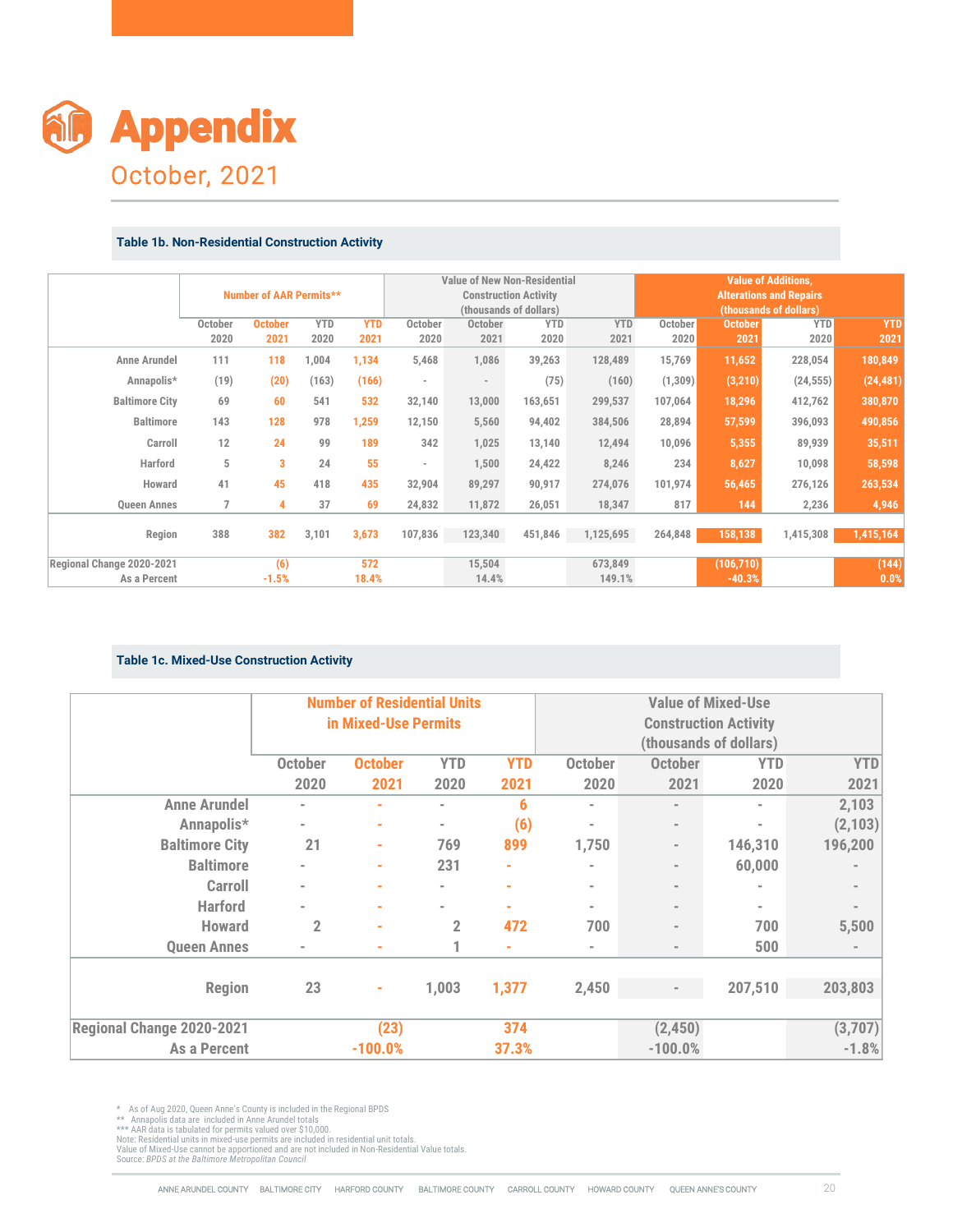

#### **Table 1b. Non-Residential Construction Activity**

| <b>Appendix</b><br>October, 2021                       |                                   |                         |                                |                    |                                    |                                     |                                                        |                    |                      |                                                      |                                                          |                    |                          |
|--------------------------------------------------------|-----------------------------------|-------------------------|--------------------------------|--------------------|------------------------------------|-------------------------------------|--------------------------------------------------------|--------------------|----------------------|------------------------------------------------------|----------------------------------------------------------|--------------------|--------------------------|
|                                                        |                                   |                         |                                |                    |                                    |                                     |                                                        |                    |                      |                                                      |                                                          |                    |                          |
|                                                        |                                   |                         |                                |                    |                                    |                                     |                                                        |                    |                      |                                                      |                                                          |                    |                          |
|                                                        |                                   |                         |                                |                    |                                    |                                     |                                                        |                    |                      |                                                      |                                                          |                    |                          |
|                                                        |                                   |                         |                                |                    |                                    |                                     |                                                        |                    |                      |                                                      |                                                          |                    |                          |
|                                                        |                                   |                         |                                |                    |                                    |                                     |                                                        |                    |                      |                                                      |                                                          |                    |                          |
|                                                        |                                   |                         |                                |                    |                                    |                                     |                                                        |                    |                      |                                                      |                                                          |                    |                          |
|                                                        |                                   |                         |                                |                    |                                    |                                     |                                                        |                    |                      |                                                      |                                                          |                    |                          |
|                                                        |                                   |                         |                                |                    |                                    |                                     |                                                        |                    |                      |                                                      |                                                          |                    |                          |
|                                                        |                                   |                         |                                |                    |                                    |                                     |                                                        |                    |                      |                                                      |                                                          |                    |                          |
|                                                        |                                   |                         |                                |                    |                                    |                                     |                                                        |                    |                      |                                                      |                                                          |                    |                          |
|                                                        |                                   |                         |                                |                    |                                    |                                     |                                                        |                    |                      |                                                      |                                                          |                    |                          |
|                                                        |                                   |                         |                                |                    |                                    |                                     |                                                        |                    |                      |                                                      |                                                          |                    |                          |
|                                                        |                                   |                         |                                |                    |                                    |                                     |                                                        |                    |                      |                                                      |                                                          |                    |                          |
|                                                        |                                   |                         |                                |                    |                                    |                                     |                                                        |                    |                      |                                                      |                                                          |                    |                          |
|                                                        |                                   |                         |                                |                    |                                    |                                     |                                                        |                    |                      |                                                      |                                                          |                    |                          |
| <b>Table 1b. Non-Residential Construction Activity</b> |                                   |                         |                                |                    |                                    |                                     |                                                        |                    |                      |                                                      |                                                          |                    |                          |
|                                                        |                                   |                         |                                |                    |                                    | <b>Value of New Non-Residential</b> |                                                        |                    |                      |                                                      | <b>Value of Additions,</b>                               |                    |                          |
|                                                        |                                   |                         | <b>Number of AAR Permits**</b> |                    |                                    |                                     | <b>Construction Activity</b><br>(thousands of dollars) |                    |                      |                                                      | <b>Alterations and Repairs</b><br>(thousands of dollars) |                    |                          |
|                                                        | October<br>2020                   | <b>October</b><br>2021  | <b>YTD</b><br>2020             | <b>YTD</b><br>2021 | October<br>2020                    | October<br>2021                     |                                                        | <b>YTD</b><br>2020 | <b>YTD</b><br>2021   | October<br>2020                                      | <b>October</b><br>2021                                   | <b>YTD</b><br>2020 | <b>YTD</b><br>2021       |
| <b>Anne Arundel</b>                                    | 111                               | 118                     | 1,004                          | 1,134              | 5,468                              | 1,086                               |                                                        | 39,263             | 128,489              | 15,769                                               | 11,652                                                   | 228,054            | 180,849                  |
| Annapolis*                                             | (19)                              | (20)                    | (163)                          | (166)              | $\overline{\phantom{a}}$           | $\sim$                              |                                                        | (75)               | (160)                | (1, 309)                                             | (3, 210)                                                 | (24, 555)          | (24, 481)                |
| <b>Baltimore City</b>                                  | 69                                | 60                      | 541                            | 532                | 32,140                             | 13,000                              |                                                        | 163,651            | 299,537              | 107,064                                              | 18,296                                                   | 412,762            | 380,870                  |
| <b>Baltimore</b>                                       | 143                               | 128                     | 978                            | 1,259              | 12,150                             | 5,560                               |                                                        | 94,402             | 384,506              | 28,894                                               | 57,599                                                   | 396,093            | 490,856                  |
| Carroll                                                | 12                                | 24                      | 99                             | 189                | 342                                | 1,025                               |                                                        | 13,140             | 12,494               | 10,096                                               | 5,355                                                    | 89,939             | 35,511                   |
| Harford                                                | $\,$ 5                            | $\overline{\mathbf{3}}$ | 24                             | 55                 | $\sim$                             | 1,500                               |                                                        | 24,422             | 8,246                | 234                                                  | 8,627                                                    | 10,098             | 58,598                   |
| Howard                                                 | 41                                | 45                      | 418                            | 435                | 32,904                             | 89,297                              |                                                        | 90,917             | 274,076              | 101,974                                              | 56,465                                                   | 276,126            | 263,534                  |
| <b>Queen Annes</b><br>Region                           | $\overline{7}$<br>388             | 4<br>382                | 37<br>3,101                    | 69<br>3,673        | 24,832<br>107,836                  | 11,872<br>123,340                   |                                                        | 26,051<br>451,846  | 18,347<br>1,125,695  | 817<br>264,848                                       | 144<br>158,138                                           | 2,236<br>1,415,308 | 4,946<br>1,415,164       |
| Regional Change 2020-2021                              |                                   | (6)                     |                                | 572                |                                    | 15,504                              |                                                        |                    | 673,849              |                                                      | (106, 710)                                               |                    | (144)                    |
| As a Percent                                           |                                   | $-1.5%$                 |                                | 18.4%              |                                    | 14.4%                               |                                                        |                    | 149.1%               |                                                      | $-40.3%$                                                 |                    | 0.0%                     |
|                                                        |                                   |                         |                                |                    |                                    |                                     |                                                        |                    |                      |                                                      |                                                          |                    |                          |
| <b>Table 1c. Mixed-Use Construction Activity</b>       |                                   |                         |                                |                    |                                    |                                     |                                                        |                    |                      |                                                      |                                                          |                    |                          |
|                                                        |                                   |                         |                                |                    | <b>Number of Residential Units</b> |                                     |                                                        |                    |                      |                                                      | <b>Value of Mixed-Use</b>                                |                    |                          |
|                                                        |                                   |                         |                                |                    | in Mixed-Use Permits               |                                     |                                                        |                    |                      |                                                      | <b>Construction Activity</b>                             |                    |                          |
|                                                        |                                   |                         |                                |                    |                                    |                                     |                                                        |                    |                      |                                                      | (thousands of dollars)                                   |                    |                          |
|                                                        |                                   |                         | <b>October</b>                 | <b>October</b>     |                                    | <b>YTD</b>                          | <b>YTD</b>                                             |                    | <b>October</b>       | <b>October</b>                                       | <b>YTD</b>                                               |                    | <b>YTD</b>               |
|                                                        |                                   |                         | 2020                           | 2021               |                                    | 2020                                | 2021                                                   |                    | 2020                 | 2021                                                 | 2020                                                     |                    | 2021                     |
|                                                        | <b>Anne Arundel</b><br>Annapolis* |                         | $\overline{\phantom{a}}$<br>÷, | ٠                  |                                    | $\sim$                              | $\boldsymbol{6}$                                       |                    | $\blacksquare$<br>ä, | $\overline{a}$                                       | i.                                                       |                    | 2,103<br>(2, 103)        |
|                                                        | <b>Baltimore City</b>             |                         | 21                             | ٠<br>٠             |                                    | $\overline{\phantom{a}}$<br>769     | (6)<br>899                                             |                    | 1,750                | $\overline{\phantom{a}}$<br>$\overline{\phantom{a}}$ | 146,310                                                  |                    | 196,200                  |
|                                                        | <b>Baltimore</b>                  |                         | $\overline{\phantom{a}}$       | ÷                  |                                    | 231                                 | ä,                                                     |                    | i.                   | $\overline{\phantom{a}}$                             | 60,000                                                   |                    |                          |
|                                                        | <b>Carroll</b>                    |                         | $\overline{a}$                 | ٠                  |                                    | $\overline{\phantom{a}}$            | ä                                                      |                    | $\blacksquare$       | $\overline{\phantom{a}}$                             | i.                                                       |                    | $\overline{\phantom{a}}$ |
|                                                        |                                   |                         |                                | ٠                  |                                    |                                     | ä,                                                     |                    | ä,                   | $\blacksquare$                                       | $\overline{a}$                                           |                    |                          |
|                                                        | <b>Harford</b>                    |                         |                                |                    |                                    | $\overline{2}$                      | 472                                                    |                    | 700                  | $\overline{a}$                                       | 700                                                      |                    | 5,500                    |
|                                                        | <b>Howard</b>                     |                         | $\mathbf 2$                    |                    |                                    |                                     |                                                        |                    |                      |                                                      | $E \cap \Omega$                                          |                    |                          |

#### **Table 1c. Mixed-Use Construction Activity**

|                        |                       | <b>Table 1b. Non-Residential Construction Activity</b> |                                |                          |                                                            |                          |                          |                                                                                               |                          |                   |                                                                                        |                    |                    |
|------------------------|-----------------------|--------------------------------------------------------|--------------------------------|--------------------------|------------------------------------------------------------|--------------------------|--------------------------|-----------------------------------------------------------------------------------------------|--------------------------|-------------------|----------------------------------------------------------------------------------------|--------------------|--------------------|
|                        |                       |                                                        | <b>Number of AAR Permits**</b> |                          |                                                            |                          |                          | <b>Value of New Non-Residential</b><br><b>Construction Activity</b><br>(thousands of dollars) |                          |                   | <b>Value of Additions,</b><br><b>Alterations and Repairs</b><br>(thousands of dollars) |                    |                    |
|                        |                       | October<br>2020                                        | <b>October</b><br>2021         | <b>YTD</b><br>2020       | <b>YTD</b><br>2021                                         | October<br>2020          | October<br>2021          | <b>YTD</b><br>2020                                                                            | <b>YTD</b><br>2021       | October<br>2020   | <b>October</b><br>2021                                                                 | <b>YTD</b><br>2020 | <b>YTD</b><br>2021 |
|                        | <b>Anne Arundel</b>   | 111                                                    | 118                            | 1,004                    | 1,134                                                      | 5,468                    | 1,086                    | 39,263                                                                                        | 128,489                  | 15,769            | 11,652                                                                                 | 228,054            | 180,849            |
|                        | Annapolis*            | (19)                                                   | (20)                           | (163)                    | (166)                                                      |                          | $\overline{\phantom{a}}$ | (75)                                                                                          | (160)                    | (1, 309)          | (3, 210)                                                                               | (24, 555)          | (24, 481)          |
|                        | <b>Baltimore City</b> | 69                                                     | 60                             | 541                      | 532                                                        | 32,140                   | 13,000                   | 163,651                                                                                       | 299,537                  | 107,064           | 18,296                                                                                 | 412,762            | 380,870            |
|                        | <b>Baltimore</b>      | 143                                                    | 128                            | 978                      | 1,259                                                      | 12,150                   | 5,560                    | 94,402                                                                                        | 384,506                  | 28,894            | 57,599                                                                                 | 396,093            | 490,856            |
|                        | Carroll               | 12                                                     | 24                             | 99                       | 189                                                        | 342                      | 1,025                    | 13,140                                                                                        | 12,494                   | 10,096            | 5,355                                                                                  | 89,939             | 35,511             |
|                        | <b>Harford</b>        | 5                                                      | 3                              | 24                       | 55                                                         | $\overline{\phantom{a}}$ | 1,500                    | 24,422                                                                                        | 8,246                    | 234               | 8,627                                                                                  | 10,098             | 58,598             |
|                        | Howard                | 41                                                     | 45                             | 418                      | 435                                                        | 32,904                   | 89,297                   | 90,917                                                                                        | 274,076                  | 101,974           | 56,465                                                                                 | 276,126            | 263,534            |
|                        | <b>Queen Annes</b>    | $\overline{7}$                                         | 4                              | 37                       | 69                                                         | 24,832                   | 11,872                   | 26,051                                                                                        | 18,347                   | 817               | 144                                                                                    | 2,236              | 4,946              |
|                        | Region                | 388                                                    | 382                            | 3,101                    | 3,673                                                      | 107,836                  | 123,340                  | 451,846                                                                                       | 1,125,695                | 264,848           | 158,138                                                                                | 1,415,308          | 1,415,164          |
| ional Change 2020-2021 |                       |                                                        | (6)                            |                          | 572                                                        |                          | 15,504                   |                                                                                               | 673,849                  |                   | (106, 710)                                                                             |                    | (144)              |
|                        | As a Percent          | <b>Table 1c. Mixed-Use Construction Activity</b>       | $-1.5%$                        |                          | 18.4%                                                      |                          | 14.4%                    |                                                                                               | 149.1%                   |                   | $-40.3%$                                                                               |                    | 0.0%               |
|                        |                       |                                                        |                                |                          |                                                            |                          |                          |                                                                                               |                          |                   |                                                                                        |                    |                    |
|                        |                       |                                                        |                                |                          | <b>Number of Residential Units</b><br>in Mixed-Use Permits |                          |                          |                                                                                               |                          |                   | <b>Value of Mixed-Use</b>                                                              |                    |                    |
|                        |                       |                                                        |                                |                          |                                                            |                          |                          |                                                                                               |                          |                   | <b>Construction Activity</b><br>(thousands of dollars)                                 |                    |                    |
|                        |                       |                                                        |                                | <b>October</b>           | <b>October</b>                                             |                          | <b>YTD</b>               | <b>YTD</b>                                                                                    | <b>October</b>           | <b>October</b>    | <b>YTD</b>                                                                             |                    | <b>YTD</b>         |
|                        |                       |                                                        |                                | 2020                     | 2021                                                       |                          | 2020                     | 2021                                                                                          | 2020                     | 2021              | 2020                                                                                   |                    | 2021               |
|                        |                       | <b>Anne Arundel</b>                                    |                                |                          |                                                            |                          |                          | 6                                                                                             |                          |                   | $\blacksquare$                                                                         |                    | 2,103              |
|                        |                       | Annapolis*                                             |                                | $\overline{\phantom{a}}$ |                                                            |                          |                          | (6)                                                                                           |                          |                   |                                                                                        |                    | (2, 103)           |
|                        |                       | <b>Baltimore City</b>                                  |                                | 21                       |                                                            |                          | 769                      | 899                                                                                           | 1,750                    |                   | 146,310                                                                                |                    | 196,200            |
|                        |                       | <b>Baltimore</b>                                       |                                |                          |                                                            |                          | 231                      |                                                                                               |                          |                   | 60,000                                                                                 |                    |                    |
|                        |                       | <b>Carroll</b>                                         |                                |                          |                                                            |                          |                          |                                                                                               |                          |                   |                                                                                        |                    | $\qquad \qquad =$  |
|                        |                       | <b>Harford</b>                                         |                                |                          |                                                            |                          |                          |                                                                                               | ٠                        |                   | $\overline{\phantom{a}}$                                                               |                    | $\bar{ }$          |
|                        |                       | Howard                                                 |                                | $\overline{\mathbf{c}}$  |                                                            |                          | $\overline{2}$           | 472                                                                                           | 700                      |                   | 700                                                                                    |                    | 5,500              |
|                        |                       | <b>Queen Annes</b>                                     |                                |                          |                                                            |                          | 1                        |                                                                                               | $\overline{\phantom{a}}$ | $\qquad \qquad =$ | 500                                                                                    |                    |                    |
|                        |                       | <b>Region</b>                                          |                                | 23                       |                                                            | 1,003                    |                          | 1,377                                                                                         | 2,450                    |                   | 207,510                                                                                |                    | 203,803            |
|                        |                       | Regional Change 2020-2021                              |                                |                          | (23)                                                       |                          |                          | 374                                                                                           |                          | (2, 450)          |                                                                                        |                    | (3,707)            |

\* As of Aug 2020, Queen Anne's County is included in the Regional BPDS<br>\*\* Annapolis data are included in Anne Arundel totals<br>\*\*\* AAR data is tabulated for permits valued over \$10,000.<br>Note: Residential units in mixed-use p